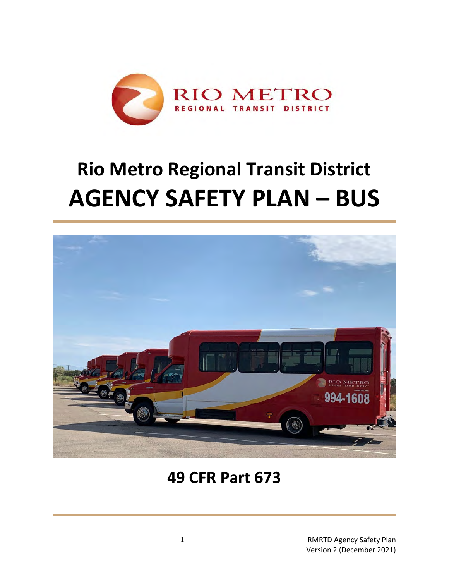

# **Rio Metro Regional Transit District AGENCY SAFETY PLAN – BUS**



## **49 CFR Part 673**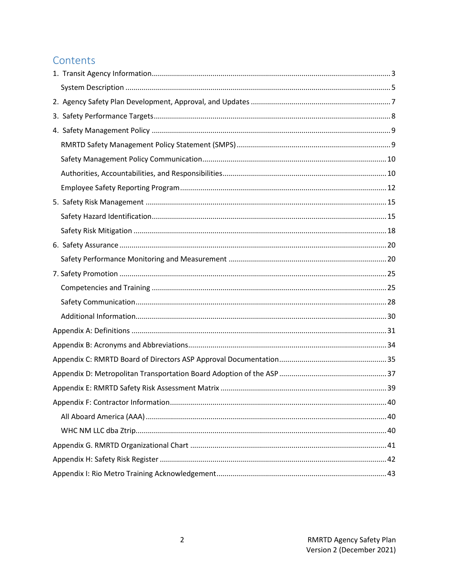### Contents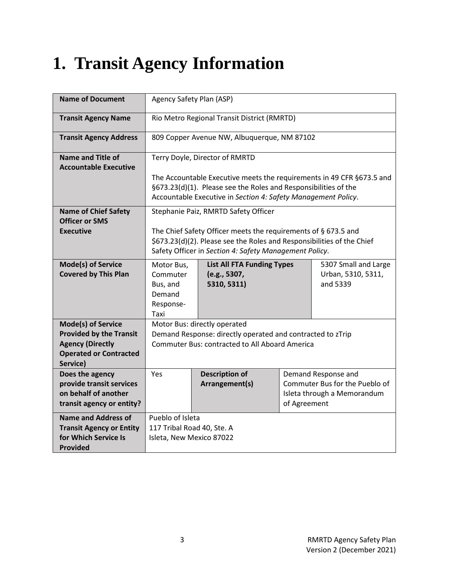# <span id="page-2-0"></span>**1. Transit Agency Information**

| <b>Name of Document</b>                                                                                                             | Agency Safety Plan (ASP)                                                   |                                                                                                                                                                                                           |  |  |  |
|-------------------------------------------------------------------------------------------------------------------------------------|----------------------------------------------------------------------------|-----------------------------------------------------------------------------------------------------------------------------------------------------------------------------------------------------------|--|--|--|
| <b>Transit Agency Name</b>                                                                                                          | Rio Metro Regional Transit District (RMRTD)                                |                                                                                                                                                                                                           |  |  |  |
| <b>Transit Agency Address</b>                                                                                                       | 809 Copper Avenue NW, Albuquerque, NM 87102                                |                                                                                                                                                                                                           |  |  |  |
| <b>Name and Title of</b><br><b>Accountable Executive</b>                                                                            | Terry Doyle, Director of RMRTD                                             |                                                                                                                                                                                                           |  |  |  |
|                                                                                                                                     |                                                                            | The Accountable Executive meets the requirements in 49 CFR §673.5 and<br>§673.23(d)(1). Please see the Roles and Responsibilities of the<br>Accountable Executive in Section 4: Safety Management Policy. |  |  |  |
| <b>Name of Chief Safety</b><br><b>Officer or SMS</b>                                                                                |                                                                            | Stephanie Paiz, RMRTD Safety Officer                                                                                                                                                                      |  |  |  |
| <b>Executive</b>                                                                                                                    |                                                                            | The Chief Safety Officer meets the requirements of § 673.5 and<br>\$673.23(d)(2). Please see the Roles and Responsibilities of the Chief<br>Safety Officer in Section 4: Safety Management Policy.        |  |  |  |
| Mode(s) of Service<br><b>Covered by This Plan</b>                                                                                   | Motor Bus,<br>Commuter<br>Bus, and<br>Demand<br>Response-<br>Taxi          | 5307 Small and Large<br><b>List All FTA Funding Types</b><br>Urban, 5310, 5311,<br>(e.g., 5307,<br>and 5339<br>5310, 5311)                                                                                |  |  |  |
| <b>Mode(s) of Service</b><br><b>Provided by the Transit</b><br><b>Agency (Directly</b><br><b>Operated or Contracted</b><br>Service) |                                                                            | Motor Bus: directly operated<br>Demand Response: directly operated and contracted to zTrip<br><b>Commuter Bus: contracted to All Aboard America</b>                                                       |  |  |  |
| Does the agency<br>provide transit services<br>on behalf of another<br>transit agency or entity?                                    | Yes                                                                        | <b>Description of</b><br>Demand Response and<br>Arrangement(s)<br>Commuter Bus for the Pueblo of<br>Isleta through a Memorandum<br>of Agreement                                                           |  |  |  |
| <b>Name and Address of</b><br><b>Transit Agency or Entity</b><br>for Which Service Is<br><b>Provided</b>                            | Pueblo of Isleta<br>117 Tribal Road 40, Ste. A<br>Isleta, New Mexico 87022 |                                                                                                                                                                                                           |  |  |  |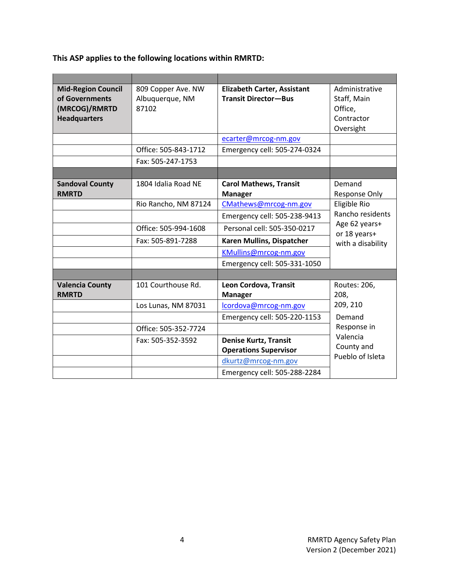### **This ASP applies to the following locations within RMRTD:**

| <b>Mid-Region Council</b><br>of Governments<br>(MRCOG)/RMRTD<br><b>Headquarters</b> | 809 Copper Ave. NW<br>Albuquerque, NM<br>87102 | <b>Elizabeth Carter, Assistant</b><br><b>Transit Director-Bus</b> | Administrative<br>Staff, Main<br>Office,<br>Contractor<br>Oversight |
|-------------------------------------------------------------------------------------|------------------------------------------------|-------------------------------------------------------------------|---------------------------------------------------------------------|
|                                                                                     |                                                | ecarter@mrcog-nm.gov                                              |                                                                     |
|                                                                                     | Office: 505-843-1712                           | Emergency cell: 505-274-0324                                      |                                                                     |
|                                                                                     | Fax: 505-247-1753                              |                                                                   |                                                                     |
|                                                                                     |                                                |                                                                   |                                                                     |
| <b>Sandoval County</b><br><b>RMRTD</b>                                              | 1804 Idalia Road NE                            | <b>Carol Mathews, Transit</b><br><b>Manager</b>                   | Demand<br>Response Only                                             |
|                                                                                     | Rio Rancho, NM 87124                           | CMathews@mrcog-nm.gov                                             | Eligible Rio                                                        |
|                                                                                     |                                                | Emergency cell: 505-238-9413                                      | Rancho residents                                                    |
|                                                                                     | Office: 505-994-1608                           | Personal cell: 505-350-0217                                       | Age 62 years+<br>or 18 years+                                       |
|                                                                                     | Fax: 505-891-7288                              | Karen Mullins, Dispatcher                                         | with a disability                                                   |
|                                                                                     |                                                | KMullins@mrcog-nm.gov                                             |                                                                     |
|                                                                                     |                                                | Emergency cell: 505-331-1050                                      |                                                                     |
|                                                                                     |                                                |                                                                   |                                                                     |
| <b>Valencia County</b><br><b>RMRTD</b>                                              | 101 Courthouse Rd.                             | Leon Cordova, Transit<br><b>Manager</b>                           | Routes: 206,<br>208,                                                |
|                                                                                     | Los Lunas, NM 87031                            | lcordova@mrcog-nm.gov                                             | 209, 210                                                            |
|                                                                                     |                                                | Emergency cell: 505-220-1153                                      | Demand                                                              |
|                                                                                     | Office: 505-352-7724                           |                                                                   | Response in                                                         |
|                                                                                     | Fax: 505-352-3592                              | <b>Denise Kurtz, Transit</b><br><b>Operations Supervisor</b>      | Valencia<br>County and                                              |
|                                                                                     |                                                | dkurtz@mrcog-nm.gov                                               | Pueblo of Isleta                                                    |
|                                                                                     |                                                | Emergency cell: 505-288-2284                                      |                                                                     |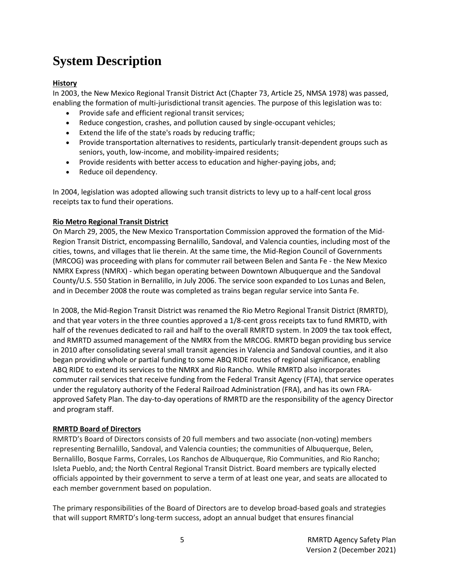### <span id="page-4-0"></span>**System Description**

### **History**

In 2003, the New Mexico Regional Transit District Act (Chapter 73, Article 25, NMSA 1978) was passed, enabling the formation of multi-jurisdictional transit agencies. The purpose of this legislation was to:

- Provide safe and efficient regional transit services;
- Reduce congestion, crashes, and pollution caused by single-occupant vehicles;
- Extend the life of the state's roads by reducing traffic;
- Provide transportation alternatives to residents, particularly transit-dependent groups such as seniors, youth, low-income, and mobility-impaired residents;
- Provide residents with better access to education and higher-paying jobs, and;
- Reduce oil dependency.

In 2004, legislation was adopted allowing such transit districts to levy up to a half-cent local gross receipts tax to fund their operations.

### **Rio Metro Regional Transit District**

On March 29, 2005, the New Mexico Transportation Commission approved the formation of the Mid-Region Transit District, encompassing Bernalillo, Sandoval, and Valencia counties, including most of the cities, towns, and villages that lie therein. At the same time, the Mid-Region Council of Governments (MRCOG) was proceeding with plans for commuter rail between Belen and Santa Fe - the New Mexico NMRX Express (NMRX) - which began operating between Downtown Albuquerque and the Sandoval County/U.S. 550 Station in Bernalillo, in July 2006. The service soon expanded to Los Lunas and Belen, and in December 2008 the route was completed as trains began regular service into Santa Fe.

In 2008, the Mid-Region Transit District was renamed the Rio Metro Regional Transit District (RMRTD), and that year voters in the three counties approved a 1/8-cent gross receipts tax to fund RMRTD, with half of the revenues dedicated to rail and half to the overall RMRTD system. In 2009 the tax took effect, and RMRTD assumed management of the NMRX from the MRCOG. RMRTD began providing bus service in 2010 after consolidating several small transit agencies in Valencia and Sandoval counties, and it also began providing whole or partial funding to some ABQ RIDE routes of regional significance, enabling ABQ RIDE to extend its services to the NMRX and Rio Rancho. While RMRTD also incorporates commuter rail services that receive funding from the Federal Transit Agency (FTA), that service operates under the regulatory authority of the Federal Railroad Administration (FRA), and has its own FRAapproved Safety Plan. The day-to-day operations of RMRTD are the responsibility of the agency Director and program staff.

### **RMRTD Board of Directors**

RMRTD's Board of Directors consists of 20 full members and two associate (non-voting) members representing Bernalillo, Sandoval, and Valencia counties; the communities of Albuquerque, Belen, Bernalillo, Bosque Farms, Corrales, Los Ranchos de Albuquerque, Rio Communities, and Rio Rancho; Isleta Pueblo, and; the North Central Regional Transit District. Board members are typically elected officials appointed by their government to serve a term of at least one year, and seats are allocated to each member government based on population.

The primary responsibilities of the Board of Directors are to develop broad-based goals and strategies that will support RMRTD's long-term success, adopt an annual budget that ensures financial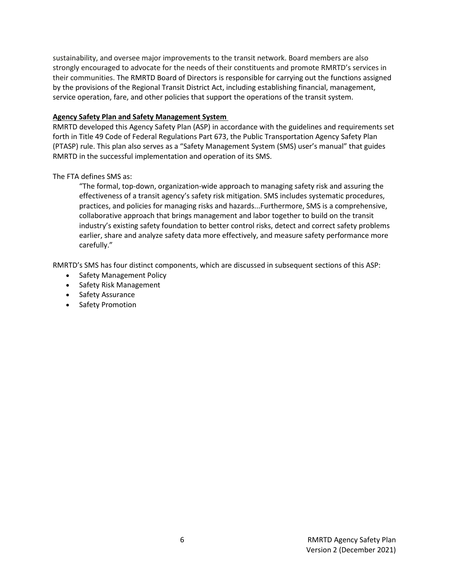sustainability, and oversee major improvements to the transit network. Board members are also strongly encouraged to advocate for the needs of their constituents and promote RMRTD's services in their communities. The RMRTD Board of Directors is responsible for carrying out the functions assigned by the provisions of the Regional Transit District Act, including establishing financial, management, service operation, fare, and other policies that support the operations of the transit system.

### **Agency Safety Plan and Safety Management System**

RMRTD developed this Agency Safety Plan (ASP) in accordance with the guidelines and requirements set forth in Title 49 Code of Federal Regulations Part 673, the Public Transportation Agency Safety Plan (PTASP) rule. This plan also serves as a "Safety Management System (SMS) user's manual" that guides RMRTD in the successful implementation and operation of its SMS.

The FTA defines SMS as:

"The formal, top-down, organization-wide approach to managing safety risk and assuring the effectiveness of a transit agency's safety risk mitigation. SMS includes systematic procedures, practices, and policies for managing risks and hazards...Furthermore, SMS is a comprehensive, collaborative approach that brings management and labor together to build on the transit industry's existing safety foundation to better control risks, detect and correct safety problems earlier, share and analyze safety data more effectively, and measure safety performance more carefully."

RMRTD's SMS has four distinct components, which are discussed in subsequent sections of this ASP:

- Safety Management Policy
- Safety Risk Management
- Safety Assurance
- Safety Promotion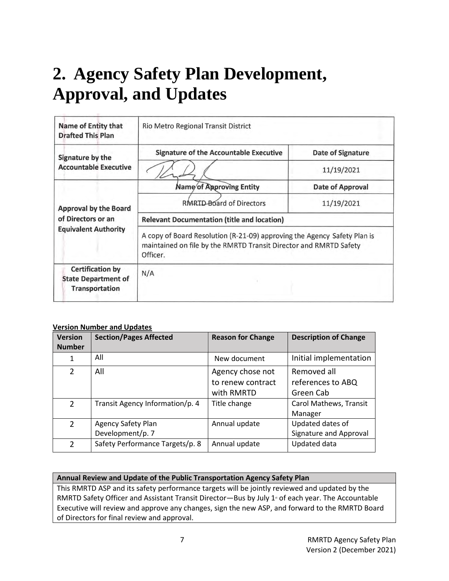# <span id="page-6-0"></span>**2. Agency Safety Plan Development, Approval, and Updates**

| <b>Name of Entity that</b><br><b>Drafted This Plan</b>                         | Rio Metro Regional Transit District                                                                                                                       |                          |  |  |
|--------------------------------------------------------------------------------|-----------------------------------------------------------------------------------------------------------------------------------------------------------|--------------------------|--|--|
| Signature by the                                                               | <b>Signature of the Accountable Executive</b>                                                                                                             | <b>Date of Signature</b> |  |  |
| <b>Accountable Executive</b>                                                   |                                                                                                                                                           | 11/19/2021               |  |  |
| <b>Approval by the Board</b>                                                   | Name of Approving Entity                                                                                                                                  | <b>Date of Approval</b>  |  |  |
|                                                                                | RMRTD-Board of Directors                                                                                                                                  | 11/19/2021               |  |  |
| of Directors or an                                                             | <b>Relevant Documentation (title and location)</b>                                                                                                        |                          |  |  |
| <b>Equivalent Authority</b>                                                    | A copy of Board Resolution (R-21-09) approving the Agency Safety Plan is<br>maintained on file by the RMRTD Transit Director and RMRTD Safety<br>Officer. |                          |  |  |
| <b>Certification by</b><br><b>State Department of</b><br><b>Transportation</b> | N/A                                                                                                                                                       |                          |  |  |

### **Version Number and Updates**

| <b>Version</b><br><b>Number</b> | <b>Section/Pages Affected</b>          | <b>Reason for Change</b>                            | <b>Description of Change</b>                  |
|---------------------------------|----------------------------------------|-----------------------------------------------------|-----------------------------------------------|
| 1                               | All                                    | New document                                        | Initial implementation                        |
| 2                               | All                                    | Agency chose not<br>to renew contract<br>with RMRTD | Removed all<br>references to ABQ<br>Green Cab |
| $\mathcal{P}$                   | Transit Agency Information/p. 4        | Title change                                        | Carol Mathews, Transit<br>Manager             |
| $\overline{2}$                  | Agency Safety Plan<br>Development/p. 7 | Annual update                                       | Updated dates of<br>Signature and Approval    |
| 2                               | Safety Performance Targets/p. 8        | Annual update                                       | Updated data                                  |

### **Annual Review and Update of the Public Transportation Agency Safety Plan**

This RMRTD ASP and its safety performance targets will be jointly reviewed and updated by the RMRTD Safety Officer and Assistant Transit Director—Bus by July  $1<sup>*</sup>$  of each year. The Accountable Executive will review and approve any changes, sign the new ASP, and forward to the RMRTD Board of Directors for final review and approval.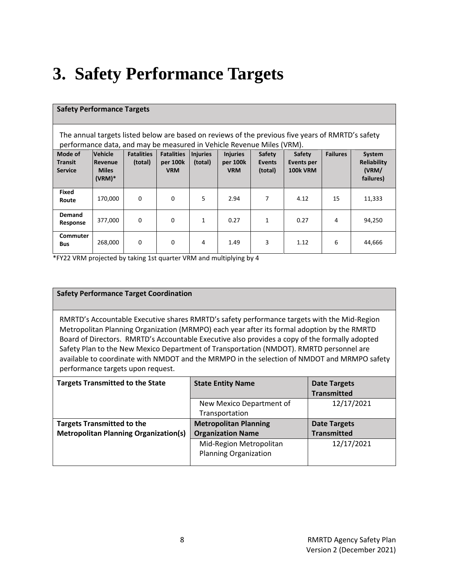# <span id="page-7-0"></span>**3. Safety Performance Targets**

| <b>Safety Performance Targets</b>                                                                                                                                          |                                                       |                              |                                             |                            |                                           |                                    |                                         |                 |                                                    |
|----------------------------------------------------------------------------------------------------------------------------------------------------------------------------|-------------------------------------------------------|------------------------------|---------------------------------------------|----------------------------|-------------------------------------------|------------------------------------|-----------------------------------------|-----------------|----------------------------------------------------|
| The annual targets listed below are based on reviews of the previous five years of RMRTD's safety<br>performance data, and may be measured in Vehicle Revenue Miles (VRM). |                                                       |                              |                                             |                            |                                           |                                    |                                         |                 |                                                    |
| Mode of<br><b>Transit</b><br><b>Service</b>                                                                                                                                | Vehicle<br><b>Revenue</b><br><b>Miles</b><br>$(VRM)*$ | <b>Fatalities</b><br>(total) | <b>Fatalities</b><br>per 100k<br><b>VRM</b> | <b>Injuries</b><br>(total) | <b>Injuries</b><br>per 100k<br><b>VRM</b> | Safety<br><b>Events</b><br>(total) | Safety<br>Events per<br><b>100k VRM</b> | <b>Failures</b> | System<br><b>Reliability</b><br>(VRM/<br>failures) |
| Fixed<br>Route                                                                                                                                                             | 170,000                                               | 0                            | $\Omega$                                    | 5                          | 2.94                                      | 7                                  | 4.12                                    | 15              | 11,333                                             |
| <b>Demand</b><br>Response                                                                                                                                                  | 377,000                                               | 0                            | 0                                           | $\mathbf{1}$               | 0.27                                      | $\mathbf{1}$                       | 0.27                                    | 4               | 94,250                                             |
| <b>Commuter</b><br><b>Bus</b>                                                                                                                                              | 268,000                                               | 0                            | 0                                           | 4                          | 1.49                                      | 3                                  | 1.12                                    | 6               | 44,666                                             |

\*FY22 VRM projected by taking 1st quarter VRM and multiplying by 4

#### **Safety Performance Target Coordination**

RMRTD's Accountable Executive shares RMRTD's safety performance targets with the Mid-Region Metropolitan Planning Organization (MRMPO) each year after its formal adoption by the RMRTD Board of Directors. RMRTD's Accountable Executive also provides a copy of the formally adopted Safety Plan to the New Mexico Department of Transportation (NMDOT). RMRTD personnel are available to coordinate with NMDOT and the MRMPO in the selection of NMDOT and MRMPO safety performance targets upon request.

| <b>Targets Transmitted to the State</b>      | <b>State Entity Name</b>     | <b>Date Targets</b> |
|----------------------------------------------|------------------------------|---------------------|
|                                              |                              | <b>Transmitted</b>  |
|                                              | New Mexico Department of     | 12/17/2021          |
|                                              | Transportation               |                     |
| <b>Targets Transmitted to the</b>            | <b>Metropolitan Planning</b> | <b>Date Targets</b> |
| <b>Metropolitan Planning Organization(s)</b> | <b>Organization Name</b>     | <b>Transmitted</b>  |
|                                              | Mid-Region Metropolitan      | 12/17/2021          |
|                                              | <b>Planning Organization</b> |                     |
|                                              |                              |                     |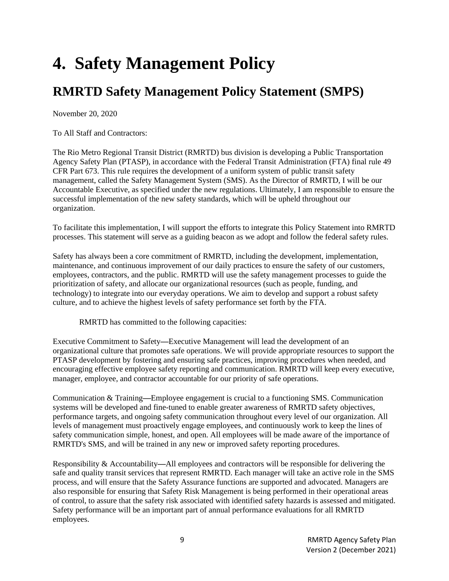# <span id="page-8-0"></span>**4. Safety Management Policy**

### <span id="page-8-1"></span>**RMRTD Safety Management Policy Statement (SMPS)**

November 20, 2020

To All Staff and Contractors:

The Rio Metro Regional Transit District (RMRTD) bus division is developing a Public Transportation Agency Safety Plan (PTASP), in accordance with the Federal Transit Administration (FTA) final rule 49 CFR Part 673. This rule requires the development of a uniform system of public transit safety management, called the Safety Management System (SMS). As the Director of RMRTD, I will be our Accountable Executive, as specified under the new regulations. Ultimately, I am responsible to ensure the successful implementation of the new safety standards, which will be upheld throughout our organization.

To facilitate this implementation, I will support the efforts to integrate this Policy Statement into RMRTD processes. This statement will serve as a guiding beacon as we adopt and follow the federal safety rules.

Safety has always been a core commitment of RMRTD, including the development, implementation, maintenance, and continuous improvement of our daily practices to ensure the safety of our customers, employees, contractors, and the public. RMRTD will use the safety management processes to guide the prioritization of safety, and allocate our organizational resources (such as people, funding, and technology) to integrate into our everyday operations. We aim to develop and support a robust safety culture, and to achieve the highest levels of safety performance set forth by the FTA.

RMRTD has committed to the following capacities:

Executive Commitment to Safety**—**Executive Management will lead the development of an organizational culture that promotes safe operations. We will provide appropriate resources to support the PTASP development by fostering and ensuring safe practices, improving procedures when needed, and encouraging effective employee safety reporting and communication. RMRTD will keep every executive, manager, employee, and contractor accountable for our priority of safe operations.

Communication & Training**—**Employee engagement is crucial to a functioning SMS. Communication systems will be developed and fine-tuned to enable greater awareness of RMRTD safety objectives, performance targets, and ongoing safety communication throughout every level of our organization. All levels of management must proactively engage employees, and continuously work to keep the lines of safety communication simple, honest, and open. All employees will be made aware of the importance of RMRTD's SMS, and will be trained in any new or improved safety reporting procedures.

Responsibility & Accountability**—**All employees and contractors will be responsible for delivering the safe and quality transit services that represent RMRTD. Each manager will take an active role in the SMS process, and will ensure that the Safety Assurance functions are supported and advocated. Managers are also responsible for ensuring that Safety Risk Management is being performed in their operational areas of control, to assure that the safety risk associated with identified safety hazards is assessed and mitigated. Safety performance will be an important part of annual performance evaluations for all RMRTD employees.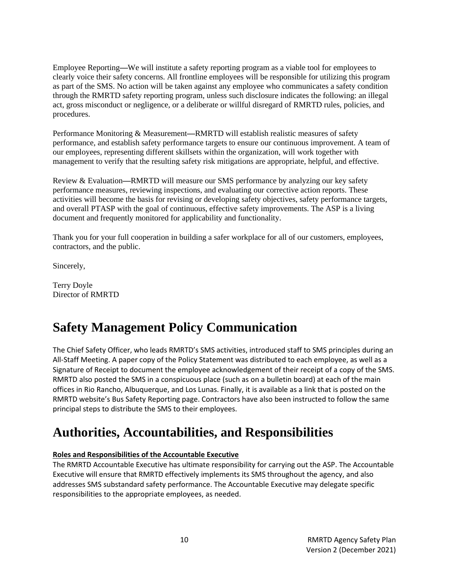Employee Reporting**—**We will institute a safety reporting program as a viable tool for employees to clearly voice their safety concerns. All frontline employees will be responsible for utilizing this program as part of the SMS. No action will be taken against any employee who communicates a safety condition through the RMRTD safety reporting program, unless such disclosure indicates the following: an illegal act, gross misconduct or negligence, or a deliberate or willful disregard of RMRTD rules, policies, and procedures.

Performance Monitoring & Measurement**—**RMRTD will establish realistic measures of safety performance, and establish safety performance targets to ensure our continuous improvement. A team of our employees, representing different skillsets within the organization, will work together with management to verify that the resulting safety risk mitigations are appropriate, helpful, and effective.

Review & Evaluation**—**RMRTD will measure our SMS performance by analyzing our key safety performance measures, reviewing inspections, and evaluating our corrective action reports. These activities will become the basis for revising or developing safety objectives, safety performance targets, and overall PTASP with the goal of continuous, effective safety improvements. The ASP is a living document and frequently monitored for applicability and functionality.

Thank you for your full cooperation in building a safer workplace for all of our customers, employees, contractors, and the public.

Sincerely,

Terry Doyle Director of RMRTD

### <span id="page-9-0"></span>**Safety Management Policy Communication**

The Chief Safety Officer, who leads RMRTD's SMS activities, introduced staff to SMS principles during an All-Staff Meeting. A paper copy of the Policy Statement was distributed to each employee, as well as a Signature of Receipt to document the employee acknowledgement of their receipt of a copy of the SMS. RMRTD also posted the SMS in a conspicuous place (such as on a bulletin board) at each of the main offices in Rio Rancho, Albuquerque, and Los Lunas. Finally, it is available as a link that is posted on the RMRTD website's Bus Safety Reporting page. Contractors have also been instructed to follow the same principal steps to distribute the SMS to their employees.

### <span id="page-9-1"></span>**Authorities, Accountabilities, and Responsibilities**

### **Roles and Responsibilities of the Accountable Executive**

The RMRTD Accountable Executive has ultimate responsibility for carrying out the ASP. The Accountable Executive will ensure that RMRTD effectively implements its SMS throughout the agency, and also addresses SMS substandard safety performance. The Accountable Executive may delegate specific responsibilities to the appropriate employees, as needed.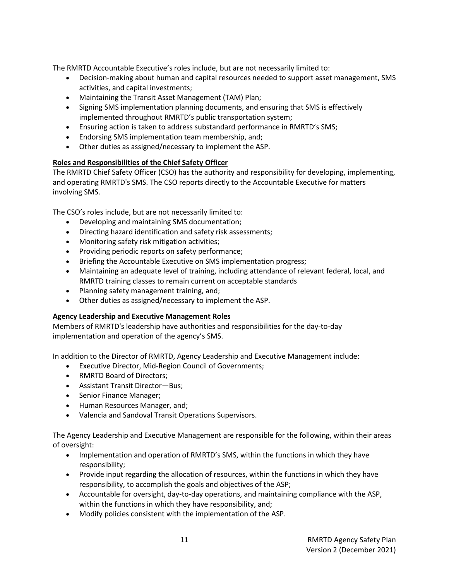The RMRTD Accountable Executive's roles include, but are not necessarily limited to:

- Decision-making about human and capital resources needed to support asset management, SMS activities, and capital investments;
- Maintaining the Transit Asset Management (TAM) Plan;
- Signing SMS implementation planning documents, and ensuring that SMS is effectively implemented throughout RMRTD's public transportation system;
- Ensuring action is taken to address substandard performance in RMRTD's SMS;
- Endorsing SMS implementation team membership, and;
- Other duties as assigned/necessary to implement the ASP.

### **Roles and Responsibilities of the Chief Safety Officer**

The RMRTD Chief Safety Officer (CSO) has the authority and responsibility for developing, implementing, and operating RMRTD's SMS. The CSO reports directly to the Accountable Executive for matters involving SMS.

The CSO's roles include, but are not necessarily limited to:

- Developing and maintaining SMS documentation;
- Directing hazard identification and safety risk assessments;
- Monitoring safety risk mitigation activities;
- Providing periodic reports on safety performance;
- Briefing the Accountable Executive on SMS implementation progress;
- Maintaining an adequate level of training, including attendance of relevant federal, local, and RMRTD training classes to remain current on acceptable standards
- Planning safety management training, and;
- Other duties as assigned/necessary to implement the ASP.

### **Agency Leadership and Executive Management Roles**

Members of RMRTD's leadership have authorities and responsibilities for the day-to-day implementation and operation of the agency's SMS.

In addition to the Director of RMRTD, Agency Leadership and Executive Management include:

- Executive Director, Mid-Region Council of Governments;
- RMRTD Board of Directors;
- Assistant Transit Director—Bus;
- Senior Finance Manager;
- Human Resources Manager, and;
- Valencia and Sandoval Transit Operations Supervisors.

The Agency Leadership and Executive Management are responsible for the following, within their areas of oversight:

- Implementation and operation of RMRTD's SMS, within the functions in which they have responsibility;
- Provide input regarding the allocation of resources, within the functions in which they have responsibility, to accomplish the goals and objectives of the ASP;
- Accountable for oversight, day-to-day operations, and maintaining compliance with the ASP, within the functions in which they have responsibility, and;
- Modify policies consistent with the implementation of the ASP.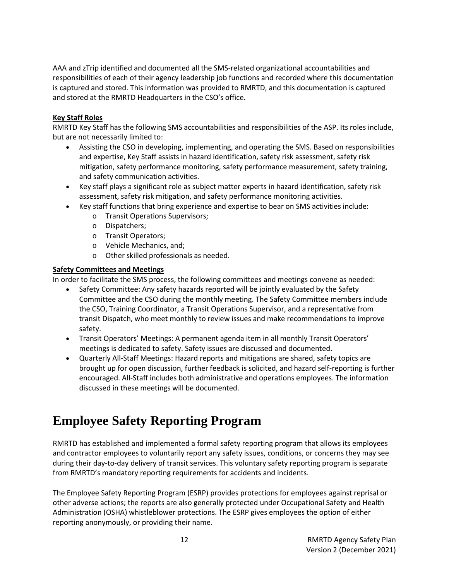AAA and zTrip identified and documented all the SMS-related organizational accountabilities and responsibilities of each of their agency leadership job functions and recorded where this documentation is captured and stored. This information was provided to RMRTD, and this documentation is captured and stored at the RMRTD Headquarters in the CSO's office.

### **Key Staff Roles**

RMRTD Key Staff has the following SMS accountabilities and responsibilities of the ASP. Its roles include, but are not necessarily limited to:

- Assisting the CSO in developing, implementing, and operating the SMS. Based on responsibilities and expertise, Key Staff assists in hazard identification, safety risk assessment, safety risk mitigation, safety performance monitoring, safety performance measurement, safety training, and safety communication activities.
- Key staff plays a significant role as subject matter experts in hazard identification, safety risk assessment, safety risk mitigation, and safety performance monitoring activities.
- Key staff functions that bring experience and expertise to bear on SMS activities include:
	- o Transit Operations Supervisors;
	- o Dispatchers;
	- o Transit Operators;
	- o Vehicle Mechanics, and;
	- o Other skilled professionals as needed.

### **Safety Committees and Meetings**

In order to facilitate the SMS process, the following committees and meetings convene as needed:

- Safety Committee: Any safety hazards reported will be jointly evaluated by the Safety Committee and the CSO during the monthly meeting. The Safety Committee members include the CSO, Training Coordinator, a Transit Operations Supervisor, and a representative from transit Dispatch, who meet monthly to review issues and make recommendations to improve safety.
- Transit Operators' Meetings: A permanent agenda item in all monthly Transit Operators' meetings is dedicated to safety. Safety issues are discussed and documented.
- Quarterly All-Staff Meetings: Hazard reports and mitigations are shared, safety topics are brought up for open discussion, further feedback is solicited, and hazard self-reporting is further encouraged. All-Staff includes both administrative and operations employees. The information discussed in these meetings will be documented.

### <span id="page-11-0"></span>**Employee Safety Reporting Program**

RMRTD has established and implemented a formal safety reporting program that allows its employees and contractor employees to voluntarily report any safety issues, conditions, or concerns they may see during their day-to-day delivery of transit services. This voluntary safety reporting program is separate from RMRTD's mandatory reporting requirements for accidents and incidents.

The Employee Safety Reporting Program (ESRP) provides protections for employees against reprisal or other adverse actions; the reports are also generally protected under Occupational Safety and Health Administration (OSHA) whistleblower protections. The ESRP gives employees the option of either reporting anonymously, or providing their name.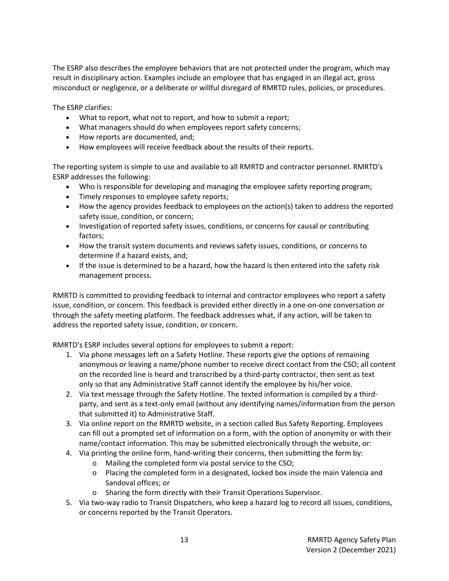The ESRP also describes the employee behaviors that are not protected under the program, which may result in disciplinary action. Examples include an employee that has engaged in an illegal act, gross misconduct or negligence, or a deliberate or willful disregard of RMRTD rules, policies, or procedures.

The ESRP clarifies:

- What to report, what not to report, and how to submit a report;
- What managers should do when employees report safety concerns;
- How reports are documented, and;
- How employees will receive feedback about the results of their reports.

The reporting system is simple to use and available to all RMRTD and contractor personnel. RMRTD's ESRP addresses the following:

- Who is responsible for developing and managing the employee safety reporting program;
- Timely responses to employee safety reports;
- How the agency provides feedback to employees on the action(s) taken to address the reported safety issue, condition, or concern;
- Investigation of reported safety issues, conditions, or concerns for causal or contributing factors;
- How the transit system documents and reviews safety issues, conditions, or concerns to determine if a hazard exists, and;
- If the issue is determined to be a hazard, how the hazard is then entered into the safety risk management process.

RMRTD is committed to providing feedback to internal and contractor employees who report a safety issue, condition, or concern. This feedback is provided either directly in a one-on-one conversation or through the safety meeting platform. The feedback addresses what, if any action, will be taken to address the reported safety issue, condition, or concern.

RMRTD's ESRP includes several options for employees to submit a report:

- 1. Via phone messages left on a Safety Hotline. These reports give the options of remaining anonymous or leaving a name/phone number to receive direct contact from the CSO; all content on the recorded line is heard and transcribed by a third-party contractor, then sent as text only so that any Administrative Staff cannot identify the employee by his/her voice.
- 2. Via text message through the Safety Hotline. The texted information is compiled by a thirdparty, and sent as a text-only email (without any identifying names/information from the person that submitted it) to Administrative Staff.
- 3. Via online report on the RMRTD website, in a section called Bus Safety Reporting. Employees can fill out a prompted set of information on a form, with the option of anonymity or with their name/contact information. This may be submitted electronically through the website, or:
- 4. Via printing the online form, hand-writing their concerns, then submitting the form by:
	- o Mailing the completed form via postal service to the CSO;
	- $\circ$  Placing the completed form in a designated, locked box inside the main Valencia and Sandoval offices; or
	- o Sharing the form directly with their Transit Operations Supervisor.
- 5. Via two-way radio to Transit Dispatchers, who keep a hazard log to record all issues, conditions, or concerns reported by the Transit Operators.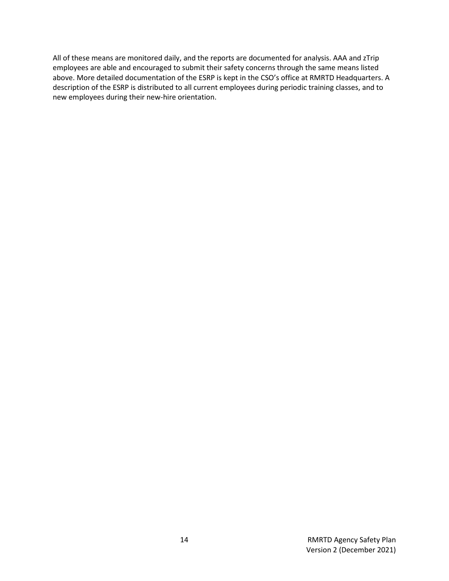All of these means are monitored daily, and the reports are documented for analysis. AAA and zTrip employees are able and encouraged to submit their safety concerns through the same means listed above. More detailed documentation of the ESRP is kept in the CSO's office at RMRTD Headquarters. A description of the ESRP is distributed to all current employees during periodic training classes, and to new employees during their new-hire orientation.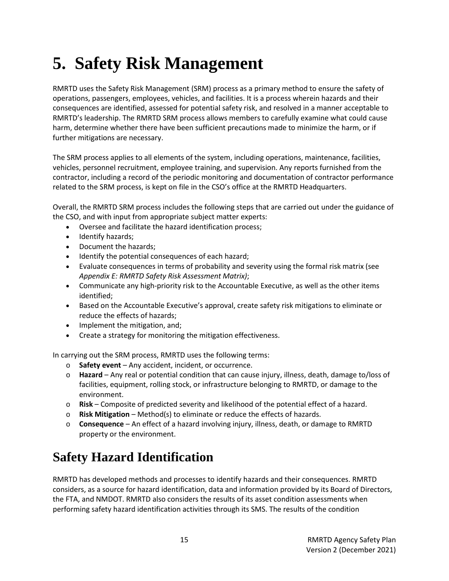# <span id="page-14-0"></span>**5. Safety Risk Management**

RMRTD uses the Safety Risk Management (SRM) process as a primary method to ensure the safety of operations, passengers, employees, vehicles, and facilities. It is a process wherein hazards and their consequences are identified, assessed for potential safety risk, and resolved in a manner acceptable to RMRTD's leadership. The RMRTD SRM process allows members to carefully examine what could cause harm, determine whether there have been sufficient precautions made to minimize the harm, or if further mitigations are necessary.

The SRM process applies to all elements of the system, including operations, maintenance, facilities, vehicles, personnel recruitment, employee training, and supervision. Any reports furnished from the contractor, including a record of the periodic monitoring and documentation of contractor performance related to the SRM process, is kept on file in the CSO's office at the RMRTD Headquarters.

Overall, the RMRTD SRM process includes the following steps that are carried out under the guidance of the CSO, and with input from appropriate subject matter experts:

- Oversee and facilitate the hazard identification process;
- Identify hazards;
- Document the hazards;
- Identify the potential consequences of each hazard;
- Evaluate consequences in terms of probability and severity using the formal risk matrix (see *Appendix E: RMRTD Safety Risk Assessment Matrix)*;
- Communicate any high-priority risk to the Accountable Executive, as well as the other items identified;
- Based on the Accountable Executive's approval, create safety risk mitigations to eliminate or reduce the effects of hazards;
- Implement the mitigation, and;
- Create a strategy for monitoring the mitigation effectiveness.

In carrying out the SRM process, RMRTD uses the following terms:

- o **Safety event**  Any accident, incident, or occurrence.
- o **Hazard**  Any real or potential condition that can cause injury, illness, death, damage to/loss of facilities, equipment, rolling stock, or infrastructure belonging to RMRTD, or damage to the environment.
- o **Risk**  Composite of predicted severity and likelihood of the potential effect of a hazard.
- o **Risk Mitigation**  Method(s) to eliminate or reduce the effects of hazards.
- o **Consequence**  An effect of a hazard involving injury, illness, death, or damage to RMRTD property or the environment.

### <span id="page-14-1"></span>**Safety Hazard Identification**

RMRTD has developed methods and processes to identify hazards and their consequences. RMRTD considers, as a source for hazard identification, data and information provided by its Board of Directors, the FTA, and NMDOT. RMRTD also considers the results of its asset condition assessments when performing safety hazard identification activities through its SMS. The results of the condition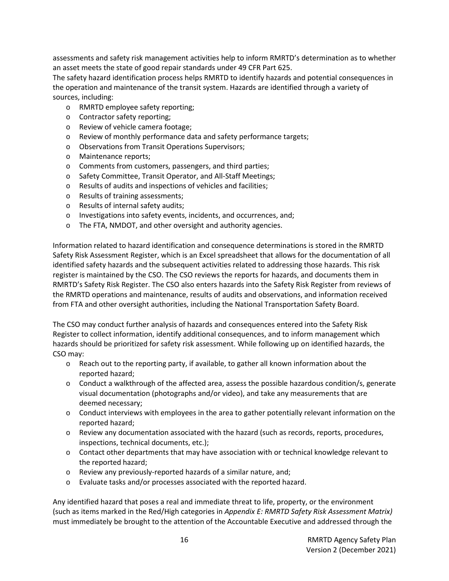assessments and safety risk management activities help to inform RMRTD's determination as to whether an asset meets the state of good repair standards under 49 CFR Part 625.

The safety hazard identification process helps RMRTD to identify hazards and potential consequences in the operation and maintenance of the transit system. Hazards are identified through a variety of sources, including:

- o RMRTD employee safety reporting;
- o Contractor safety reporting;
- o Review of vehicle camera footage;
- o Review of monthly performance data and safety performance targets;
- o Observations from Transit Operations Supervisors;
- o Maintenance reports;
- o Comments from customers, passengers, and third parties;
- o Safety Committee, Transit Operator, and All-Staff Meetings;
- o Results of audits and inspections of vehicles and facilities;
- o Results of training assessments;
- o Results of internal safety audits;
- o Investigations into safety events, incidents, and occurrences, and;
- o The FTA, NMDOT, and other oversight and authority agencies.

Information related to hazard identification and consequence determinations is stored in the RMRTD Safety Risk Assessment Register, which is an Excel spreadsheet that allows for the documentation of all identified safety hazards and the subsequent activities related to addressing those hazards. This risk register is maintained by the CSO. The CSO reviews the reports for hazards, and documents them in RMRTD's Safety Risk Register. The CSO also enters hazards into the Safety Risk Register from reviews of the RMRTD operations and maintenance, results of audits and observations, and information received from FTA and other oversight authorities, including the National Transportation Safety Board.

The CSO may conduct further analysis of hazards and consequences entered into the Safety Risk Register to collect information, identify additional consequences, and to inform management which hazards should be prioritized for safety risk assessment. While following up on identified hazards, the CSO may:

- $\circ$  Reach out to the reporting party, if available, to gather all known information about the reported hazard;
- o Conduct a walkthrough of the affected area, assess the possible hazardous condition/s, generate visual documentation (photographs and/or video), and take any measurements that are deemed necessary;
- $\circ$  Conduct interviews with employees in the area to gather potentially relevant information on the reported hazard;
- o Review any documentation associated with the hazard (such as records, reports, procedures, inspections, technical documents, etc.);
- $\circ$  Contact other departments that may have association with or technical knowledge relevant to the reported hazard;
- o Review any previously-reported hazards of a similar nature, and;
- o Evaluate tasks and/or processes associated with the reported hazard.

Any identified hazard that poses a real and immediate threat to life, property, or the environment (such as items marked in the Red/High categories in *Appendix E: RMRTD Safety Risk Assessment Matrix)*  must immediately be brought to the attention of the Accountable Executive and addressed through the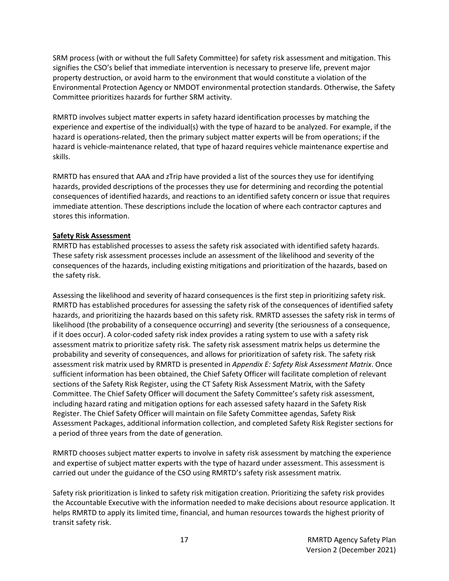SRM process (with or without the full Safety Committee) for safety risk assessment and mitigation. This signifies the CSO's belief that immediate intervention is necessary to preserve life, prevent major property destruction, or avoid harm to the environment that would constitute a violation of the Environmental Protection Agency or NMDOT environmental protection standards. Otherwise, the Safety Committee prioritizes hazards for further SRM activity.

RMRTD involves subject matter experts in safety hazard identification processes by matching the experience and expertise of the individual(s) with the type of hazard to be analyzed. For example, if the hazard is operations-related, then the primary subject matter experts will be from operations; if the hazard is vehicle-maintenance related, that type of hazard requires vehicle maintenance expertise and skills.

RMRTD has ensured that AAA and zTrip have provided a list of the sources they use for identifying hazards, provided descriptions of the processes they use for determining and recording the potential consequences of identified hazards, and reactions to an identified safety concern or issue that requires immediate attention. These descriptions include the location of where each contractor captures and stores this information.

### **Safety Risk Assessment**

RMRTD has established processes to assess the safety risk associated with identified safety hazards. These safety risk assessment processes include an assessment of the likelihood and severity of the consequences of the hazards, including existing mitigations and prioritization of the hazards, based on the safety risk.

Assessing the likelihood and severity of hazard consequences is the first step in prioritizing safety risk. RMRTD has established procedures for assessing the safety risk of the consequences of identified safety hazards, and prioritizing the hazards based on this safety risk. RMRTD assesses the safety risk in terms of likelihood (the probability of a consequence occurring) and severity (the seriousness of a consequence, if it does occur). A color-coded safety risk index provides a rating system to use with a safety risk assessment matrix to prioritize safety risk. The safety risk assessment matrix helps us determine the probability and severity of consequences, and allows for prioritization of safety risk. The safety risk assessment risk matrix used by RMRTD is presented in *Appendix E: Safety Risk Assessment Matrix*. Once sufficient information has been obtained, the Chief Safety Officer will facilitate completion of relevant sections of the Safety Risk Register, using the CT Safety Risk Assessment Matrix, with the Safety Committee. The Chief Safety Officer will document the Safety Committee's safety risk assessment, including hazard rating and mitigation options for each assessed safety hazard in the Safety Risk Register. The Chief Safety Officer will maintain on file Safety Committee agendas, Safety Risk Assessment Packages, additional information collection, and completed Safety Risk Register sections for a period of three years from the date of generation.

RMRTD chooses subject matter experts to involve in safety risk assessment by matching the experience and expertise of subject matter experts with the type of hazard under assessment. This assessment is carried out under the guidance of the CSO using RMRTD's safety risk assessment matrix.

Safety risk prioritization is linked to safety risk mitigation creation. Prioritizing the safety risk provides the Accountable Executive with the information needed to make decisions about resource application. It helps RMRTD to apply its limited time, financial, and human resources towards the highest priority of transit safety risk.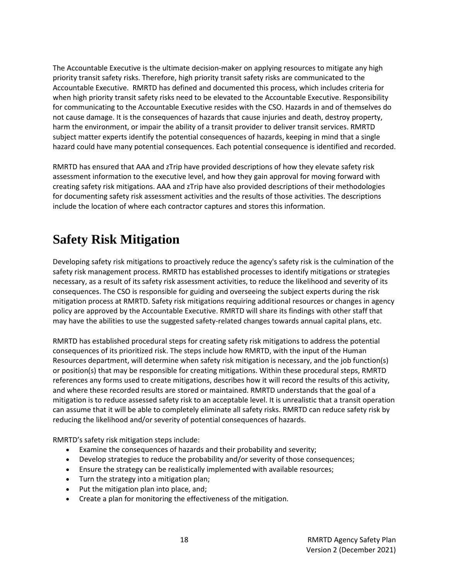The Accountable Executive is the ultimate decision-maker on applying resources to mitigate any high priority transit safety risks. Therefore, high priority transit safety risks are communicated to the Accountable Executive. RMRTD has defined and documented this process, which includes criteria for when high priority transit safety risks need to be elevated to the Accountable Executive. Responsibility for communicating to the Accountable Executive resides with the CSO. Hazards in and of themselves do not cause damage. It is the consequences of hazards that cause injuries and death, destroy property, harm the environment, or impair the ability of a transit provider to deliver transit services. RMRTD subject matter experts identify the potential consequences of hazards, keeping in mind that a single hazard could have many potential consequences. Each potential consequence is identified and recorded.

RMRTD has ensured that AAA and zTrip have provided descriptions of how they elevate safety risk assessment information to the executive level, and how they gain approval for moving forward with creating safety risk mitigations. AAA and zTrip have also provided descriptions of their methodologies for documenting safety risk assessment activities and the results of those activities. The descriptions include the location of where each contractor captures and stores this information.

### <span id="page-17-0"></span>**Safety Risk Mitigation**

Developing safety risk mitigations to proactively reduce the agency's safety risk is the culmination of the safety risk management process. RMRTD has established processes to identify mitigations or strategies necessary, as a result of its safety risk assessment activities, to reduce the likelihood and severity of its consequences. The CSO is responsible for guiding and overseeing the subject experts during the risk mitigation process at RMRTD. Safety risk mitigations requiring additional resources or changes in agency policy are approved by the Accountable Executive. RMRTD will share its findings with other staff that may have the abilities to use the suggested safety-related changes towards annual capital plans, etc.

RMRTD has established procedural steps for creating safety risk mitigations to address the potential consequences of its prioritized risk. The steps include how RMRTD, with the input of the Human Resources department, will determine when safety risk mitigation is necessary, and the job function(s) or position(s) that may be responsible for creating mitigations. Within these procedural steps, RMRTD references any forms used to create mitigations, describes how it will record the results of this activity, and where these recorded results are stored or maintained. RMRTD understands that the goal of a mitigation is to reduce assessed safety risk to an acceptable level. It is unrealistic that a transit operation can assume that it will be able to completely eliminate all safety risks. RMRTD can reduce safety risk by reducing the likelihood and/or severity of potential consequences of hazards.

RMRTD's safety risk mitigation steps include:

- Examine the consequences of hazards and their probability and severity;
- Develop strategies to reduce the probability and/or severity of those consequences;
- Ensure the strategy can be realistically implemented with available resources;
- Turn the strategy into a mitigation plan;
- Put the mitigation plan into place, and;
- Create a plan for monitoring the effectiveness of the mitigation.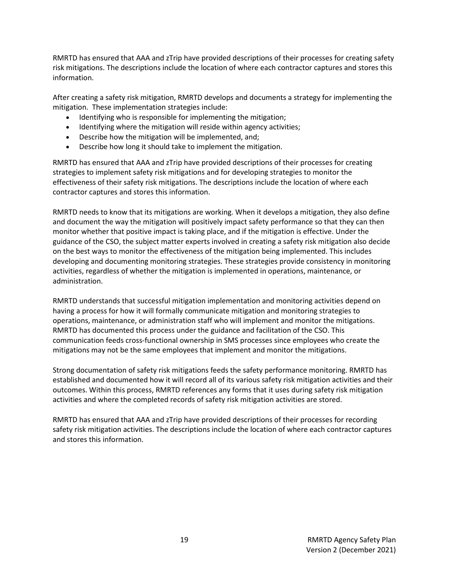RMRTD has ensured that AAA and zTrip have provided descriptions of their processes for creating safety risk mitigations. The descriptions include the location of where each contractor captures and stores this information.

After creating a safety risk mitigation, RMRTD develops and documents a strategy for implementing the mitigation. These implementation strategies include:

- Identifying who is responsible for implementing the mitigation;
- Identifying where the mitigation will reside within agency activities;
- Describe how the mitigation will be implemented, and;
- Describe how long it should take to implement the mitigation.

RMRTD has ensured that AAA and zTrip have provided descriptions of their processes for creating strategies to implement safety risk mitigations and for developing strategies to monitor the effectiveness of their safety risk mitigations. The descriptions include the location of where each contractor captures and stores this information.

RMRTD needs to know that its mitigations are working. When it develops a mitigation, they also define and document the way the mitigation will positively impact safety performance so that they can then monitor whether that positive impact is taking place, and if the mitigation is effective. Under the guidance of the CSO, the subject matter experts involved in creating a safety risk mitigation also decide on the best ways to monitor the effectiveness of the mitigation being implemented. This includes developing and documenting monitoring strategies. These strategies provide consistency in monitoring activities, regardless of whether the mitigation is implemented in operations, maintenance, or administration.

RMRTD understands that successful mitigation implementation and monitoring activities depend on having a process for how it will formally communicate mitigation and monitoring strategies to operations, maintenance, or administration staff who will implement and monitor the mitigations. RMRTD has documented this process under the guidance and facilitation of the CSO. This communication feeds cross-functional ownership in SMS processes since employees who create the mitigations may not be the same employees that implement and monitor the mitigations.

Strong documentation of safety risk mitigations feeds the safety performance monitoring. RMRTD has established and documented how it will record all of its various safety risk mitigation activities and their outcomes. Within this process, RMRTD references any forms that it uses during safety risk mitigation activities and where the completed records of safety risk mitigation activities are stored.

RMRTD has ensured that AAA and zTrip have provided descriptions of their processes for recording safety risk mitigation activities. The descriptions include the location of where each contractor captures and stores this information.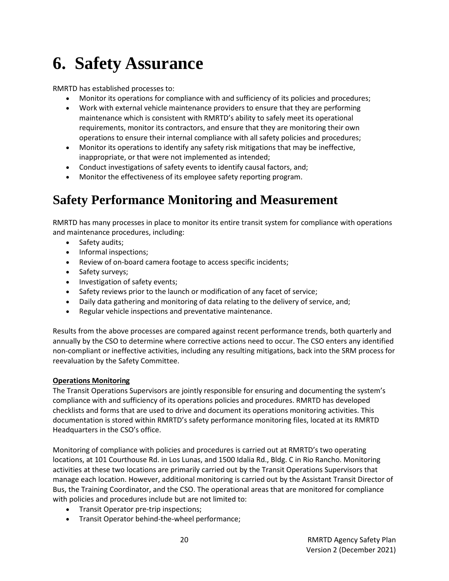# <span id="page-19-0"></span>**6. Safety Assurance**

RMRTD has established processes to:

- Monitor its operations for compliance with and sufficiency of its policies and procedures;
- Work with external vehicle maintenance providers to ensure that they are performing maintenance which is consistent with RMRTD's ability to safely meet its operational requirements, monitor its contractors, and ensure that they are monitoring their own operations to ensure their internal compliance with all safety policies and procedures;
- Monitor its operations to identify any safety risk mitigations that may be ineffective, inappropriate, or that were not implemented as intended;
- Conduct investigations of safety events to identify causal factors, and;
- Monitor the effectiveness of its employee safety reporting program.

### <span id="page-19-1"></span>**Safety Performance Monitoring and Measurement**

RMRTD has many processes in place to monitor its entire transit system for compliance with operations and maintenance procedures, including:

- Safety audits;
- Informal inspections;
- Review of on-board camera footage to access specific incidents;
- Safety surveys;
- Investigation of safety events;
- Safety reviews prior to the launch or modification of any facet of service;
- Daily data gathering and monitoring of data relating to the delivery of service, and;
- Regular vehicle inspections and preventative maintenance.

Results from the above processes are compared against recent performance trends, both quarterly and annually by the CSO to determine where corrective actions need to occur. The CSO enters any identified non-compliant or ineffective activities, including any resulting mitigations, back into the SRM process for reevaluation by the Safety Committee.

### **Operations Monitoring**

The Transit Operations Supervisors are jointly responsible for ensuring and documenting the system's compliance with and sufficiency of its operations policies and procedures. RMRTD has developed checklists and forms that are used to drive and document its operations monitoring activities. This documentation is stored within RMRTD's safety performance monitoring files, located at its RMRTD Headquarters in the CSO's office.

Monitoring of compliance with policies and procedures is carried out at RMRTD's two operating locations, at 101 Courthouse Rd. in Los Lunas, and 1500 Idalia Rd., Bldg. C in Rio Rancho. Monitoring activities at these two locations are primarily carried out by the Transit Operations Supervisors that manage each location. However, additional monitoring is carried out by the Assistant Transit Director of Bus, the Training Coordinator, and the CSO. The operational areas that are monitored for compliance with policies and procedures include but are not limited to:

- Transit Operator pre-trip inspections;
- Transit Operator behind-the-wheel performance;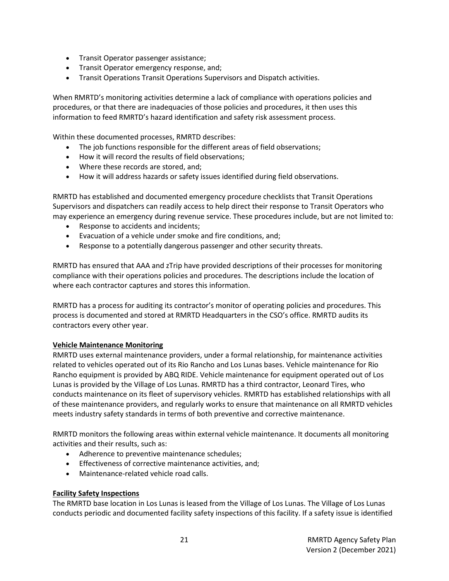- Transit Operator passenger assistance;
- Transit Operator emergency response, and;
- Transit Operations Transit Operations Supervisors and Dispatch activities.

When RMRTD's monitoring activities determine a lack of compliance with operations policies and procedures, or that there are inadequacies of those policies and procedures, it then uses this information to feed RMRTD's hazard identification and safety risk assessment process.

Within these documented processes, RMRTD describes:

- The job functions responsible for the different areas of field observations;
- How it will record the results of field observations;
- Where these records are stored, and;
- How it will address hazards or safety issues identified during field observations.

RMRTD has established and documented emergency procedure checklists that Transit Operations Supervisors and dispatchers can readily access to help direct their response to Transit Operators who may experience an emergency during revenue service. These procedures include, but are not limited to:

- Response to accidents and incidents;
- Evacuation of a vehicle under smoke and fire conditions, and;
- Response to a potentially dangerous passenger and other security threats.

RMRTD has ensured that AAA and zTrip have provided descriptions of their processes for monitoring compliance with their operations policies and procedures. The descriptions include the location of where each contractor captures and stores this information.

RMRTD has a process for auditing its contractor's monitor of operating policies and procedures. This process is documented and stored at RMRTD Headquarters in the CSO's office. RMRTD audits its contractors every other year.

### **Vehicle Maintenance Monitoring**

RMRTD uses external maintenance providers, under a formal relationship, for maintenance activities related to vehicles operated out of its Rio Rancho and Los Lunas bases. Vehicle maintenance for Rio Rancho equipment is provided by ABQ RIDE. Vehicle maintenance for equipment operated out of Los Lunas is provided by the Village of Los Lunas. RMRTD has a third contractor, Leonard Tires, who conducts maintenance on its fleet of supervisory vehicles. RMRTD has established relationships with all of these maintenance providers, and regularly works to ensure that maintenance on all RMRTD vehicles meets industry safety standards in terms of both preventive and corrective maintenance.

RMRTD monitors the following areas within external vehicle maintenance. It documents all monitoring activities and their results, such as:

- Adherence to preventive maintenance schedules;
- Effectiveness of corrective maintenance activities, and;
- Maintenance-related vehicle road calls.

### **Facility Safety Inspections**

The RMRTD base location in Los Lunas is leased from the Village of Los Lunas. The Village of Los Lunas conducts periodic and documented facility safety inspections of this facility. If a safety issue is identified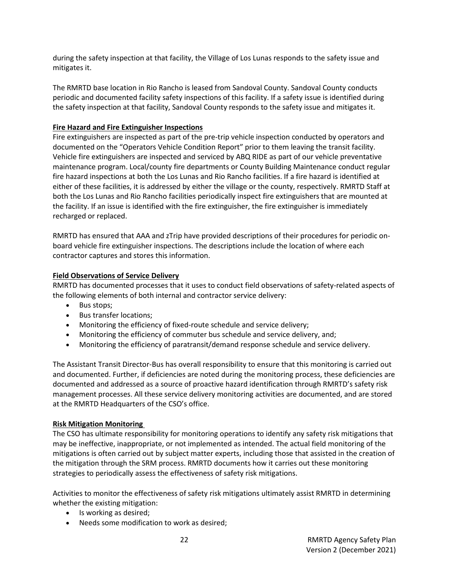during the safety inspection at that facility, the Village of Los Lunas responds to the safety issue and mitigates it.

The RMRTD base location in Rio Rancho is leased from Sandoval County. Sandoval County conducts periodic and documented facility safety inspections of this facility. If a safety issue is identified during the safety inspection at that facility, Sandoval County responds to the safety issue and mitigates it.

### **Fire Hazard and Fire Extinguisher Inspections**

Fire extinguishers are inspected as part of the pre-trip vehicle inspection conducted by operators and documented on the "Operators Vehicle Condition Report" prior to them leaving the transit facility. Vehicle fire extinguishers are inspected and serviced by ABQ RIDE as part of our vehicle preventative maintenance program. Local/county fire departments or County Building Maintenance conduct regular fire hazard inspections at both the Los Lunas and Rio Rancho facilities. If a fire hazard is identified at either of these facilities, it is addressed by either the village or the county, respectively. RMRTD Staff at both the Los Lunas and Rio Rancho facilities periodically inspect fire extinguishers that are mounted at the facility. If an issue is identified with the fire extinguisher, the fire extinguisher is immediately recharged or replaced.

RMRTD has ensured that AAA and zTrip have provided descriptions of their procedures for periodic onboard vehicle fire extinguisher inspections. The descriptions include the location of where each contractor captures and stores this information.

### **Field Observations of Service Delivery**

RMRTD has documented processes that it uses to conduct field observations of safety-related aspects of the following elements of both internal and contractor service delivery:

- Bus stops;
- Bus transfer locations;
- Monitoring the efficiency of fixed-route schedule and service delivery;
- Monitoring the efficiency of commuter bus schedule and service delivery, and;
- Monitoring the efficiency of paratransit/demand response schedule and service delivery.

The Assistant Transit Director-Bus has overall responsibility to ensure that this monitoring is carried out and documented. Further, if deficiencies are noted during the monitoring process, these deficiencies are documented and addressed as a source of proactive hazard identification through RMRTD's safety risk management processes. All these service delivery monitoring activities are documented, and are stored at the RMRTD Headquarters of the CSO's office.

### **Risk Mitigation Monitoring**

The CSO has ultimate responsibility for monitoring operations to identify any safety risk mitigations that may be ineffective, inappropriate, or not implemented as intended. The actual field monitoring of the mitigations is often carried out by subject matter experts, including those that assisted in the creation of the mitigation through the SRM process. RMRTD documents how it carries out these monitoring strategies to periodically assess the effectiveness of safety risk mitigations.

Activities to monitor the effectiveness of safety risk mitigations ultimately assist RMRTD in determining whether the existing mitigation:

- Is working as desired;
- Needs some modification to work as desired;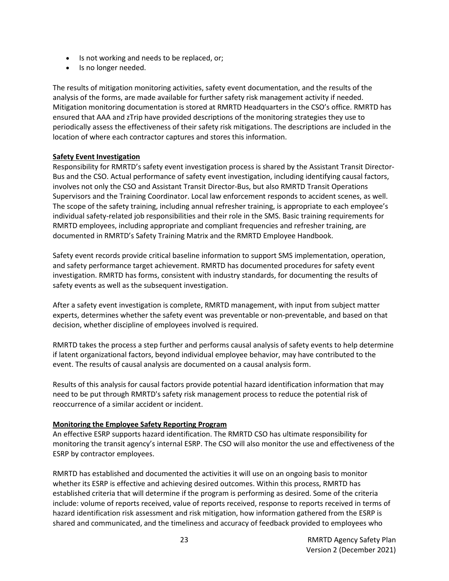- Is not working and needs to be replaced, or;
- Is no longer needed.

The results of mitigation monitoring activities, safety event documentation, and the results of the analysis of the forms, are made available for further safety risk management activity if needed. Mitigation monitoring documentation is stored at RMRTD Headquarters in the CSO's office. RMRTD has ensured that AAA and zTrip have provided descriptions of the monitoring strategies they use to periodically assess the effectiveness of their safety risk mitigations. The descriptions are included in the location of where each contractor captures and stores this information.

### **Safety Event Investigation**

Responsibility for RMRTD's safety event investigation process is shared by the Assistant Transit Director-Bus and the CSO. Actual performance of safety event investigation, including identifying causal factors, involves not only the CSO and Assistant Transit Director-Bus, but also RMRTD Transit Operations Supervisors and the Training Coordinator. Local law enforcement responds to accident scenes, as well. The scope of the safety training, including annual refresher training, is appropriate to each employee's individual safety-related job responsibilities and their role in the SMS. Basic training requirements for RMRTD employees, including appropriate and compliant frequencies and refresher training, are documented in RMRTD's Safety Training Matrix and the RMRTD Employee Handbook.

Safety event records provide critical baseline information to support SMS implementation, operation, and safety performance target achievement. RMRTD has documented procedures for safety event investigation. RMRTD has forms, consistent with industry standards, for documenting the results of safety events as well as the subsequent investigation.

After a safety event investigation is complete, RMRTD management, with input from subject matter experts, determines whether the safety event was preventable or non-preventable, and based on that decision, whether discipline of employees involved is required.

RMRTD takes the process a step further and performs causal analysis of safety events to help determine if latent organizational factors, beyond individual employee behavior, may have contributed to the event. The results of causal analysis are documented on a causal analysis form.

Results of this analysis for causal factors provide potential hazard identification information that may need to be put through RMRTD's safety risk management process to reduce the potential risk of reoccurrence of a similar accident or incident.

### **Monitoring the Employee Safety Reporting Program**

An effective ESRP supports hazard identification. The RMRTD CSO has ultimate responsibility for monitoring the transit agency's internal ESRP. The CSO will also monitor the use and effectiveness of the ESRP by contractor employees.

RMRTD has established and documented the activities it will use on an ongoing basis to monitor whether its ESRP is effective and achieving desired outcomes. Within this process, RMRTD has established criteria that will determine if the program is performing as desired. Some of the criteria include: volume of reports received, value of reports received, response to reports received in terms of hazard identification risk assessment and risk mitigation, how information gathered from the ESRP is shared and communicated, and the timeliness and accuracy of feedback provided to employees who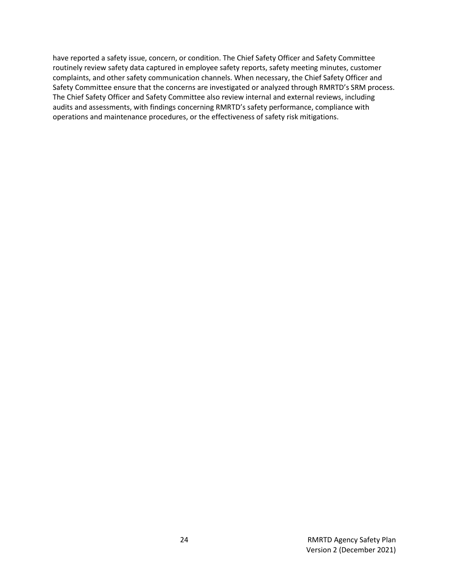have reported a safety issue, concern, or condition. The Chief Safety Officer and Safety Committee routinely review safety data captured in employee safety reports, safety meeting minutes, customer complaints, and other safety communication channels. When necessary, the Chief Safety Officer and Safety Committee ensure that the concerns are investigated or analyzed through RMRTD's SRM process. The Chief Safety Officer and Safety Committee also review internal and external reviews, including audits and assessments, with findings concerning RMRTD's safety performance, compliance with operations and maintenance procedures, or the effectiveness of safety risk mitigations.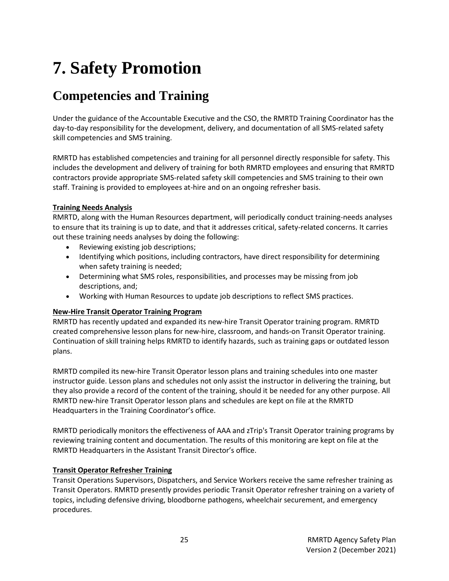# <span id="page-24-0"></span>**7. Safety Promotion**

### <span id="page-24-1"></span>**Competencies and Training**

Under the guidance of the Accountable Executive and the CSO, the RMRTD Training Coordinator has the day-to-day responsibility for the development, delivery, and documentation of all SMS-related safety skill competencies and SMS training.

RMRTD has established competencies and training for all personnel directly responsible for safety. This includes the development and delivery of training for both RMRTD employees and ensuring that RMRTD contractors provide appropriate SMS-related safety skill competencies and SMS training to their own staff. Training is provided to employees at-hire and on an ongoing refresher basis.

### **Training Needs Analysis**

RMRTD, along with the Human Resources department, will periodically conduct training-needs analyses to ensure that its training is up to date, and that it addresses critical, safety-related concerns. It carries out these training needs analyses by doing the following:

- Reviewing existing job descriptions;
- Identifying which positions, including contractors, have direct responsibility for determining when safety training is needed;
- Determining what SMS roles, responsibilities, and processes may be missing from job descriptions, and;
- Working with Human Resources to update job descriptions to reflect SMS practices.

### **New-Hire Transit Operator Training Program**

RMRTD has recently updated and expanded its new-hire Transit Operator training program. RMRTD created comprehensive lesson plans for new-hire, classroom, and hands-on Transit Operator training. Continuation of skill training helps RMRTD to identify hazards, such as training gaps or outdated lesson plans.

RMRTD compiled its new-hire Transit Operator lesson plans and training schedules into one master instructor guide. Lesson plans and schedules not only assist the instructor in delivering the training, but they also provide a record of the content of the training, should it be needed for any other purpose. All RMRTD new-hire Transit Operator lesson plans and schedules are kept on file at the RMRTD Headquarters in the Training Coordinator's office.

RMRTD periodically monitors the effectiveness of AAA and zTrip's Transit Operator training programs by reviewing training content and documentation. The results of this monitoring are kept on file at the RMRTD Headquarters in the Assistant Transit Director's office.

### **Transit Operator Refresher Training**

Transit Operations Supervisors, Dispatchers, and Service Workers receive the same refresher training as Transit Operators. RMRTD presently provides periodic Transit Operator refresher training on a variety of topics, including defensive driving, bloodborne pathogens, wheelchair securement, and emergency procedures.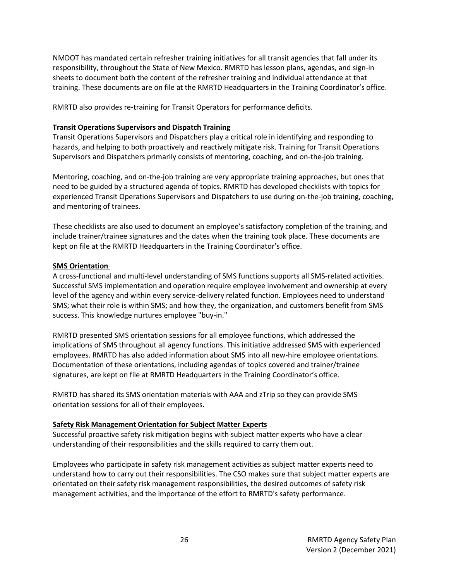NMDOT has mandated certain refresher training initiatives for all transit agencies that fall under its responsibility, throughout the State of New Mexico. RMRTD has lesson plans, agendas, and sign-in sheets to document both the content of the refresher training and individual attendance at that training. These documents are on file at the RMRTD Headquarters in the Training Coordinator's office.

RMRTD also provides re-training for Transit Operators for performance deficits.

#### **Transit Operations Supervisors and Dispatch Training**

Transit Operations Supervisors and Dispatchers play a critical role in identifying and responding to hazards, and helping to both proactively and reactively mitigate risk. Training for Transit Operations Supervisors and Dispatchers primarily consists of mentoring, coaching, and on-the-job training.

Mentoring, coaching, and on-the-job training are very appropriate training approaches, but ones that need to be guided by a structured agenda of topics. RMRTD has developed checklists with topics for experienced Transit Operations Supervisors and Dispatchers to use during on-the-job training, coaching, and mentoring of trainees.

These checklists are also used to document an employee's satisfactory completion of the training, and include trainer/trainee signatures and the dates when the training took place. These documents are kept on file at the RMRTD Headquarters in the Training Coordinator's office.

#### **SMS Orientation**

A cross-functional and multi-level understanding of SMS functions supports all SMS-related activities. Successful SMS implementation and operation require employee involvement and ownership at every level of the agency and within every service-delivery related function. Employees need to understand SMS; what their role is within SMS; and how they, the organization, and customers benefit from SMS success. This knowledge nurtures employee "buy-in."

RMRTD presented SMS orientation sessions for all employee functions, which addressed the implications of SMS throughout all agency functions. This initiative addressed SMS with experienced employees. RMRTD has also added information about SMS into all new-hire employee orientations. Documentation of these orientations, including agendas of topics covered and trainer/trainee signatures, are kept on file at RMRTD Headquarters in the Training Coordinator's office.

RMRTD has shared its SMS orientation materials with AAA and zTrip so they can provide SMS orientation sessions for all of their employees.

#### **Safety Risk Management Orientation for Subject Matter Experts**

Successful proactive safety risk mitigation begins with subject matter experts who have a clear understanding of their responsibilities and the skills required to carry them out.

Employees who participate in safety risk management activities as subject matter experts need to understand how to carry out their responsibilities. The CSO makes sure that subject matter experts are orientated on their safety risk management responsibilities, the desired outcomes of safety risk management activities, and the importance of the effort to RMRTD's safety performance.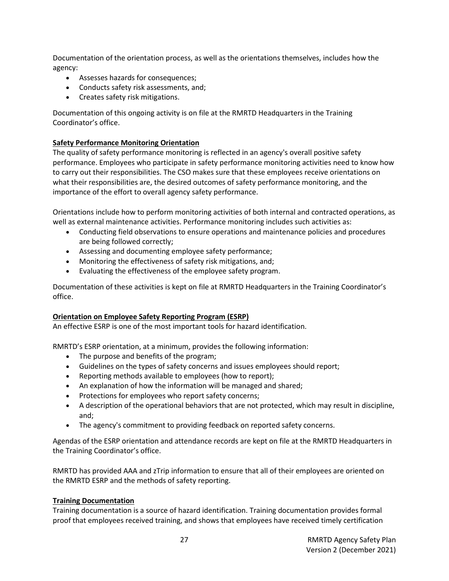Documentation of the orientation process, as well as the orientations themselves, includes how the agency:

- Assesses hazards for consequences;
- Conducts safety risk assessments, and;
- Creates safety risk mitigations.

Documentation of this ongoing activity is on file at the RMRTD Headquarters in the Training Coordinator's office.

### **Safety Performance Monitoring Orientation**

The quality of safety performance monitoring is reflected in an agency's overall positive safety performance. Employees who participate in safety performance monitoring activities need to know how to carry out their responsibilities. The CSO makes sure that these employees receive orientations on what their responsibilities are, the desired outcomes of safety performance monitoring, and the importance of the effort to overall agency safety performance.

Orientations include how to perform monitoring activities of both internal and contracted operations, as well as external maintenance activities. Performance monitoring includes such activities as:

- Conducting field observations to ensure operations and maintenance policies and procedures are being followed correctly;
- Assessing and documenting employee safety performance;
- Monitoring the effectiveness of safety risk mitigations, and;
- Evaluating the effectiveness of the employee safety program.

Documentation of these activities is kept on file at RMRTD Headquarters in the Training Coordinator's office.

### **Orientation on Employee Safety Reporting Program (ESRP)**

An effective ESRP is one of the most important tools for hazard identification.

RMRTD's ESRP orientation, at a minimum, provides the following information:

- The purpose and benefits of the program;
- Guidelines on the types of safety concerns and issues employees should report;
- Reporting methods available to employees (how to report);
- An explanation of how the information will be managed and shared;
- Protections for employees who report safety concerns;
- A description of the operational behaviors that are not protected, which may result in discipline, and;
- The agency's commitment to providing feedback on reported safety concerns.

Agendas of the ESRP orientation and attendance records are kept on file at the RMRTD Headquarters in the Training Coordinator's office.

RMRTD has provided AAA and zTrip information to ensure that all of their employees are oriented on the RMRTD ESRP and the methods of safety reporting.

### **Training Documentation**

Training documentation is a source of hazard identification. Training documentation provides formal proof that employees received training, and shows that employees have received timely certification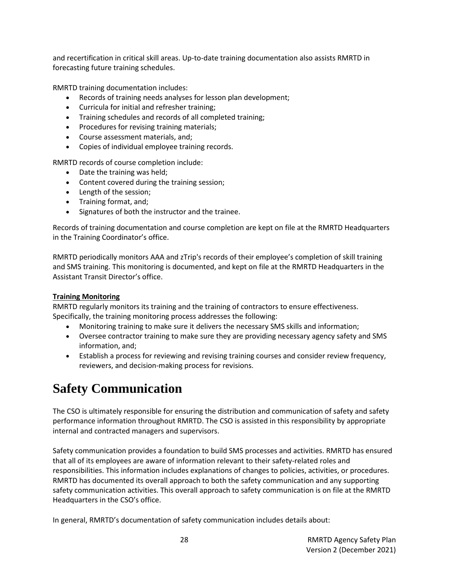and recertification in critical skill areas. Up-to-date training documentation also assists RMRTD in forecasting future training schedules.

RMRTD training documentation includes:

- Records of training needs analyses for lesson plan development;
- Curricula for initial and refresher training;
- Training schedules and records of all completed training;
- Procedures for revising training materials;
- Course assessment materials, and;
- Copies of individual employee training records.

RMRTD records of course completion include:

- Date the training was held;
- Content covered during the training session;
- Length of the session;
- Training format, and;
- Signatures of both the instructor and the trainee.

Records of training documentation and course completion are kept on file at the RMRTD Headquarters in the Training Coordinator's office.

RMRTD periodically monitors AAA and zTrip's records of their employee's completion of skill training and SMS training. This monitoring is documented, and kept on file at the RMRTD Headquarters in the Assistant Transit Director's office.

### **Training Monitoring**

RMRTD regularly monitors its training and the training of contractors to ensure effectiveness. Specifically, the training monitoring process addresses the following:

- Monitoring training to make sure it delivers the necessary SMS skills and information;
- Oversee contractor training to make sure they are providing necessary agency safety and SMS information, and;
- Establish a process for reviewing and revising training courses and consider review frequency, reviewers, and decision-making process for revisions.

### <span id="page-27-0"></span>**Safety Communication**

The CSO is ultimately responsible for ensuring the distribution and communication of safety and safety performance information throughout RMRTD. The CSO is assisted in this responsibility by appropriate internal and contracted managers and supervisors.

Safety communication provides a foundation to build SMS processes and activities. RMRTD has ensured that all of its employees are aware of information relevant to their safety-related roles and responsibilities. This information includes explanations of changes to policies, activities, or procedures. RMRTD has documented its overall approach to both the safety communication and any supporting safety communication activities. This overall approach to safety communication is on file at the RMRTD Headquarters in the CSO's office.

In general, RMRTD's documentation of safety communication includes details about: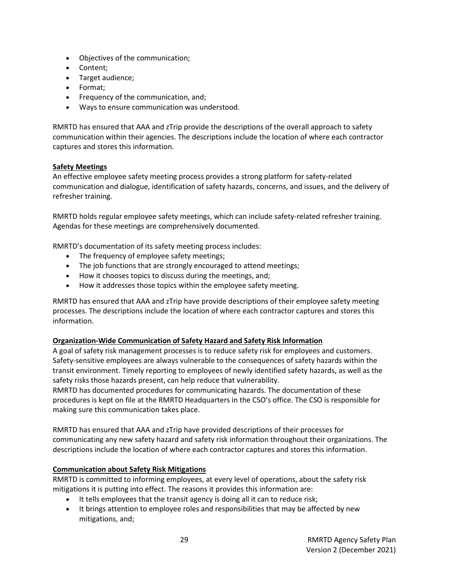- Objectives of the communication;
- Content;
- Target audience;
- Format;
- Frequency of the communication, and;
- Ways to ensure communication was understood.

RMRTD has ensured that AAA and zTrip provide the descriptions of the overall approach to safety communication within their agencies. The descriptions include the location of where each contractor captures and stores this information.

### **Safety Meetings**

An effective employee safety meeting process provides a strong platform for safety-related communication and dialogue, identification of safety hazards, concerns, and issues, and the delivery of refresher training.

RMRTD holds regular employee safety meetings, which can include safety-related refresher training. Agendas for these meetings are comprehensively documented.

RMRTD's documentation of its safety meeting process includes:

- The frequency of employee safety meetings;
- The job functions that are strongly encouraged to attend meetings;
- How it chooses topics to discuss during the meetings, and;
- How it addresses those topics within the employee safety meeting.

RMRTD has ensured that AAA and zTrip have provide descriptions of their employee safety meeting processes. The descriptions include the location of where each contractor captures and stores this information.

### **Organization-Wide Communication of Safety Hazard and Safety Risk Information**

A goal of safety risk management processes is to reduce safety risk for employees and customers. Safety-sensitive employees are always vulnerable to the consequences of safety hazards within the transit environment. Timely reporting to employees of newly identified safety hazards, as well as the safety risks those hazards present, can help reduce that vulnerability.

RMRTD has documented procedures for communicating hazards. The documentation of these procedures is kept on file at the RMRTD Headquarters in the CSO's office. The CSO is responsible for making sure this communication takes place.

RMRTD has ensured that AAA and zTrip have provided descriptions of their processes for communicating any new safety hazard and safety risk information throughout their organizations. The descriptions include the location of where each contractor captures and stores this information.

### **Communication about Safety Risk Mitigations**

RMRTD is committed to informing employees, at every level of operations, about the safety risk mitigations it is putting into effect. The reasons it provides this information are:

- It tells employees that the transit agency is doing all it can to reduce risk;
- It brings attention to employee roles and responsibilities that may be affected by new mitigations, and;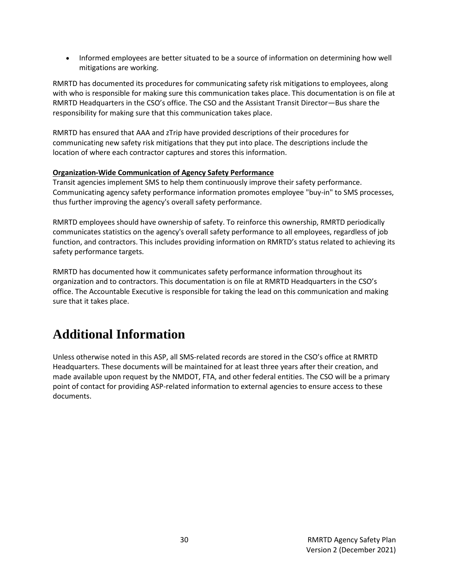• Informed employees are better situated to be a source of information on determining how well mitigations are working.

RMRTD has documented its procedures for communicating safety risk mitigations to employees, along with who is responsible for making sure this communication takes place. This documentation is on file at RMRTD Headquarters in the CSO's office. The CSO and the Assistant Transit Director—Bus share the responsibility for making sure that this communication takes place.

RMRTD has ensured that AAA and zTrip have provided descriptions of their procedures for communicating new safety risk mitigations that they put into place. The descriptions include the location of where each contractor captures and stores this information.

### **Organization-Wide Communication of Agency Safety Performance**

Transit agencies implement SMS to help them continuously improve their safety performance. Communicating agency safety performance information promotes employee "buy-in" to SMS processes, thus further improving the agency's overall safety performance.

RMRTD employees should have ownership of safety. To reinforce this ownership, RMRTD periodically communicates statistics on the agency's overall safety performance to all employees, regardless of job function, and contractors. This includes providing information on RMRTD's status related to achieving its safety performance targets.

RMRTD has documented how it communicates safety performance information throughout its organization and to contractors. This documentation is on file at RMRTD Headquarters in the CSO's office. The Accountable Executive is responsible for taking the lead on this communication and making sure that it takes place.

### <span id="page-29-0"></span>**Additional Information**

Unless otherwise noted in this ASP, all SMS-related records are stored in the CSO's office at RMRTD Headquarters. These documents will be maintained for at least three years after their creation, and made available upon request by the NMDOT, FTA, and other federal entities. The CSO will be a primary point of contact for providing ASP-related information to external agencies to ensure access to these documents.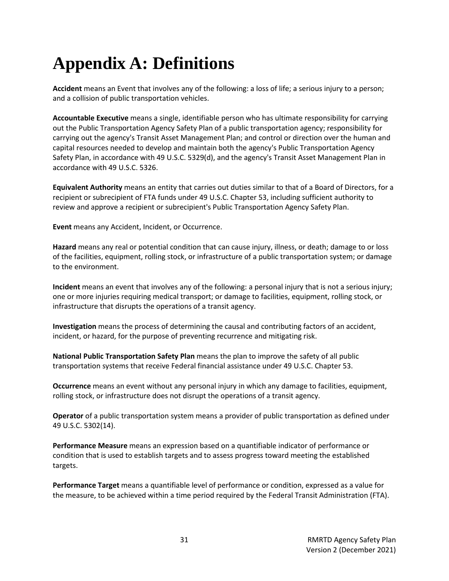# <span id="page-30-0"></span>**Appendix A: Definitions**

**Accident** means an Event that involves any of the following: a loss of life; a serious injury to a person; and a collision of public transportation vehicles.

**Accountable Executive** means a single, identifiable person who has ultimate responsibility for carrying out the Public Transportation Agency Safety Plan of a public transportation agency; responsibility for carrying out the agency's Transit Asset Management Plan; and control or direction over the human and capital resources needed to develop and maintain both the agency's Public Transportation Agency Safety Plan, in accordance with 49 U.S.C. 5329(d), and the agency's Transit Asset Management Plan in accordance with 49 U.S.C. 5326.

**Equivalent Authority** means an entity that carries out duties similar to that of a Board of Directors, for a recipient or subrecipient of FTA funds under 49 U.S.C. Chapter 53, including sufficient authority to review and approve a recipient or subrecipient's Public Transportation Agency Safety Plan.

**Event** means any Accident, Incident, or Occurrence.

**Hazard** means any real or potential condition that can cause injury, illness, or death; damage to or loss of the facilities, equipment, rolling stock, or infrastructure of a public transportation system; or damage to the environment.

**Incident** means an event that involves any of the following: a personal injury that is not a serious injury; one or more injuries requiring medical transport; or damage to facilities, equipment, rolling stock, or infrastructure that disrupts the operations of a transit agency.

**Investigation** means the process of determining the causal and contributing factors of an accident, incident, or hazard, for the purpose of preventing recurrence and mitigating risk.

**National Public Transportation Safety Plan** means the plan to improve the safety of all public transportation systems that receive Federal financial assistance under 49 U.S.C. Chapter 53.

**Occurrence** means an event without any personal injury in which any damage to facilities, equipment, rolling stock, or infrastructure does not disrupt the operations of a transit agency.

**Operator** of a public transportation system means a provider of public transportation as defined under 49 U.S.C. 5302(14).

**Performance Measure** means an expression based on a quantifiable indicator of performance or condition that is used to establish targets and to assess progress toward meeting the established targets.

**Performance Target** means a quantifiable level of performance or condition, expressed as a value for the measure, to be achieved within a time period required by the Federal Transit Administration (FTA).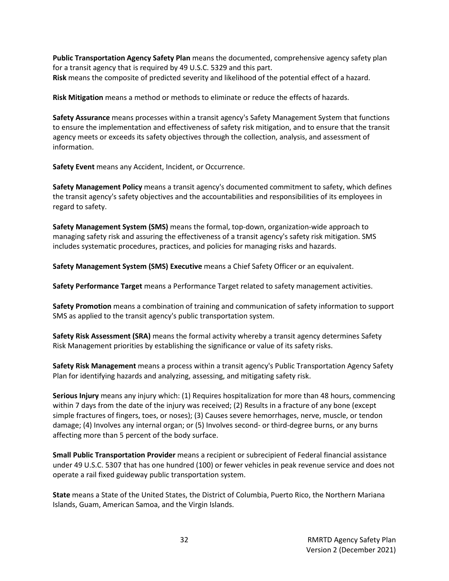**Public Transportation Agency Safety Plan** means the documented, comprehensive agency safety plan for a transit agency that is required by 49 U.S.C. 5329 and this part. **Risk** means the composite of predicted severity and likelihood of the potential effect of a hazard.

**Risk Mitigation** means a method or methods to eliminate or reduce the effects of hazards.

**Safety Assurance** means processes within a transit agency's Safety Management System that functions to ensure the implementation and effectiveness of safety risk mitigation, and to ensure that the transit agency meets or exceeds its safety objectives through the collection, analysis, and assessment of information.

**Safety Event** means any Accident, Incident, or Occurrence.

**Safety Management Policy** means a transit agency's documented commitment to safety, which defines the transit agency's safety objectives and the accountabilities and responsibilities of its employees in regard to safety.

**Safety Management System (SMS)** means the formal, top-down, organization-wide approach to managing safety risk and assuring the effectiveness of a transit agency's safety risk mitigation. SMS includes systematic procedures, practices, and policies for managing risks and hazards.

**Safety Management System (SMS) Executive** means a Chief Safety Officer or an equivalent.

**Safety Performance Target** means a Performance Target related to safety management activities.

**Safety Promotion** means a combination of training and communication of safety information to support SMS as applied to the transit agency's public transportation system.

**Safety Risk Assessment (SRA)** means the formal activity whereby a transit agency determines Safety Risk Management priorities by establishing the significance or value of its safety risks.

**Safety Risk Management** means a process within a transit agency's Public Transportation Agency Safety Plan for identifying hazards and analyzing, assessing, and mitigating safety risk.

**Serious Injury** means any injury which: (1) Requires hospitalization for more than 48 hours, commencing within 7 days from the date of the injury was received; (2) Results in a fracture of any bone (except simple fractures of fingers, toes, or noses); (3) Causes severe hemorrhages, nerve, muscle, or tendon damage; (4) Involves any internal organ; or (5) Involves second- or third-degree burns, or any burns affecting more than 5 percent of the body surface.

**Small Public Transportation Provider** means a recipient or subrecipient of Federal financial assistance under 49 U.S.C. 5307 that has one hundred (100) or fewer vehicles in peak revenue service and does not operate a rail fixed guideway public transportation system.

**State** means a State of the United States, the District of Columbia, Puerto Rico, the Northern Mariana Islands, Guam, American Samoa, and the Virgin Islands.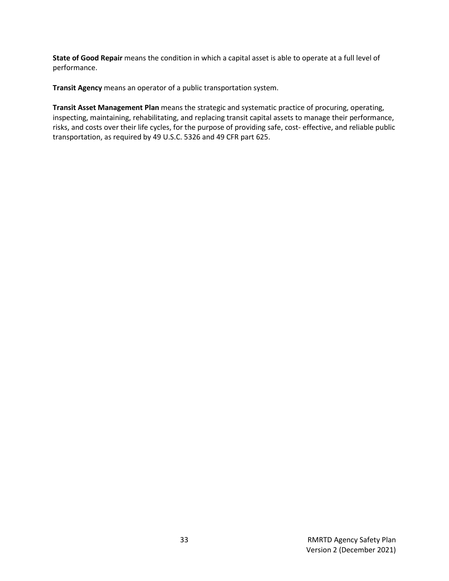**State of Good Repair** means the condition in which a capital asset is able to operate at a full level of performance.

**Transit Agency** means an operator of a public transportation system.

**Transit Asset Management Plan** means the strategic and systematic practice of procuring, operating, inspecting, maintaining, rehabilitating, and replacing transit capital assets to manage their performance, risks, and costs over their life cycles, for the purpose of providing safe, cost- effective, and reliable public transportation, as required by 49 U.S.C. 5326 and 49 CFR part 625.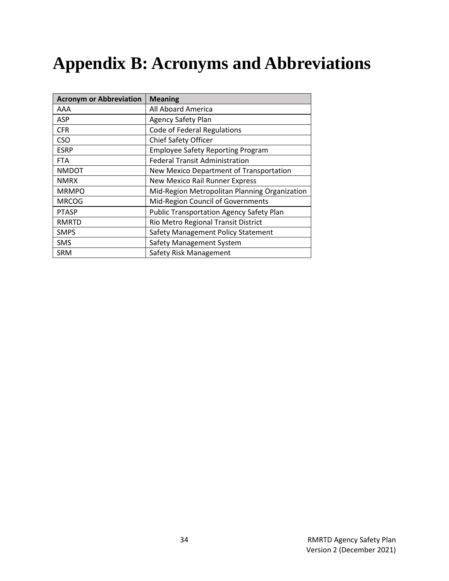# <span id="page-33-0"></span>**Appendix B: Acronyms and Abbreviations**

| <b>Acronym or Abbreviation</b> | <b>Meaning</b>                                  |
|--------------------------------|-------------------------------------------------|
| AAA                            | All Aboard America                              |
| <b>ASP</b>                     | <b>Agency Safety Plan</b>                       |
| <b>CFR</b>                     | <b>Code of Federal Regulations</b>              |
| <b>CSO</b>                     | <b>Chief Safety Officer</b>                     |
| <b>ESRP</b>                    | <b>Employee Safety Reporting Program</b>        |
| <b>FTA</b>                     | <b>Federal Transit Administration</b>           |
| <b>NMDOT</b>                   | New Mexico Department of Transportation         |
| <b>NMRX</b>                    | <b>New Mexico Rail Runner Express</b>           |
| <b>MRMPO</b>                   | Mid-Region Metropolitan Planning Organization   |
| <b>MRCOG</b>                   | Mid-Region Council of Governments               |
| <b>PTASP</b>                   | <b>Public Transportation Agency Safety Plan</b> |
| <b>RMRTD</b>                   | Rio Metro Regional Transit District             |
| <b>SMPS</b>                    | Safety Management Policy Statement              |
| <b>SMS</b>                     | Safety Management System                        |
| <b>SRM</b>                     | Safety Risk Management                          |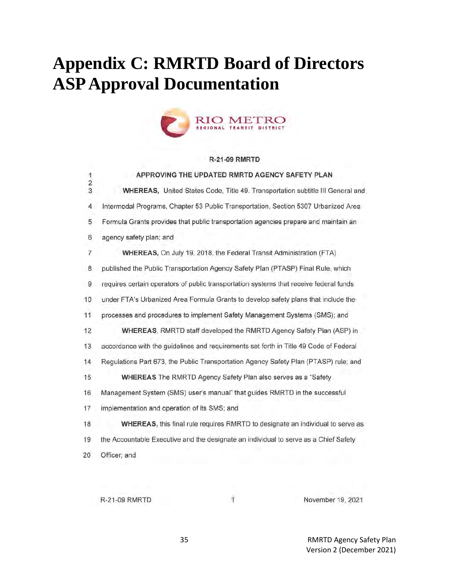# <span id="page-34-0"></span>**Appendix C: RMRTD Board of Directors ASP Approval Documentation**



#### **R-21-09 RMRTD**

| 1             | APPROVING THE UPDATED RMRTD AGENCY SAFETY PLAN                                         |
|---------------|----------------------------------------------------------------------------------------|
| $\frac{2}{3}$ | WHEREAS, United States Code, Title 49. Transportation subtitle III General and         |
| 4             | Intermodal Programs, Chapter 53 Public Transportation, Section 5307 Urbanized Area     |
| 5             | Formula Grants provides that public transportation agencies prepare and maintain an    |
| 6             | agency safety plan; and                                                                |
| 7             | WHEREAS, On July 19, 2018, the Federal Transit Administration (FTA)                    |
| 8             | published the Public Transportation Agency Safety Plan (PTASP) Final Rule, which       |
| $\,9$         | requires certain operators of public transportation systems that receive federal funds |
| 10            | under FTA's Urbanized Area Formula Grants to develop safety plans that include the     |
| 11            | processes and procedures to implement Safety Management Systems (SMS); and             |
| 12            | WHEREAS, RMRTD staff developed the RMRTD Agency Safety Plan (ASP) in                   |
| 13            | accordance with the guidelines and requirements set forth in Title 49 Code of Federal  |
| 14            | Regulations Part 673, the Public Transportation Agency Safety Plan (PTASP) rule; and   |
| 15            | WHEREAS The RMRTD Agency Safety Plan also serves as a "Safety"                         |
| 16            | Management System (SMS) user's manual" that guides RMRTD in the successful             |
| 17            | implementation and operation of its SMS; and                                           |
| 18            | WHEREAS, this final rule requires RMRTD to designate an individual to serve as         |
| 19            | the Accountable Executive and the designate an individual to serve as a Chief Safety   |
| 20            | Officer; and                                                                           |
|               |                                                                                        |

R-21-09 RMRTD

Ť

November 19, 2021

35 RMRTD Agency Safety Plan Version 2 (December 2021)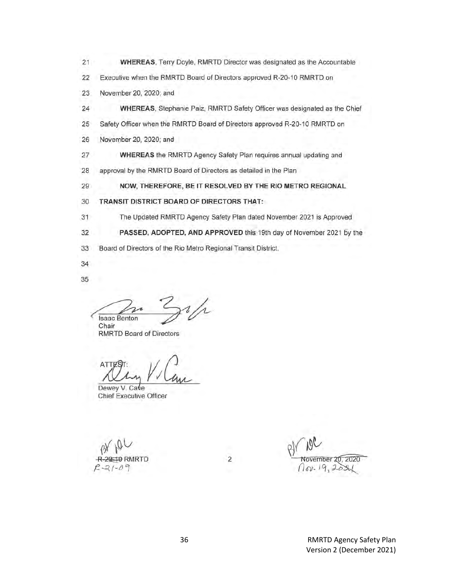- $21$ WHEREAS, Terry Doyle, RMRTD Director was designated as the Accountable
- $22$ Executive when the RMRTD Board of Directors approved R-20-10 RMRTD on
- 23 November 20, 2020; and
- 24 WHEREAS, Stephanie Paiz, RMRTD Safety Officer was designated as the Chief
- 25 Safety Officer when the RMRTD Board of Directors approved R-20-10 RMRTD on
- November 20, 2020; and 26
- 27 WHEREAS the RMRTD Agency Safety Plan requires annual updating and
- 28 approval by the RMRTD Board of Directors as detailed in the Plan

29 NOW, THEREFORE, BE IT RESOLVED BY THE RIO METRO REGIONAL

- 30 TRANSIT DISTRICT BOARD OF DIRECTORS THAT:
- $31$ The Updated RMRTD Agency Safety Plan dated November 2021 is Approved
- 32 PASSED, ADOPTED, AND APPROVED this 19th day of November 2021 by the

 $\sqrt{2}$ 

- 33 Board of Directors of the Rio Metro Regional Transit District.
- 34
- 35

 $\frac{i}{\Lambda}$ **Isaac Benton** Chair

**RMRTD Board of Directors** 

ATT

Dewey V. Cave **Chief Executive Officer** 

ember 20, 2020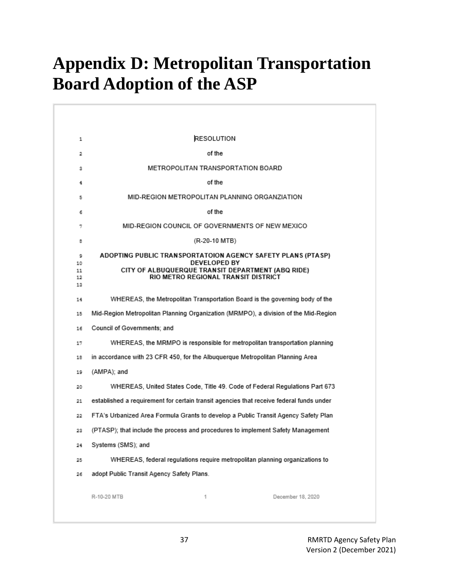# <span id="page-36-0"></span>**Appendix D: Metropolitan Transportation Board Adoption of the ASP**

| 1                         | RESOLUTION                                                                                                                                                                     |
|---------------------------|--------------------------------------------------------------------------------------------------------------------------------------------------------------------------------|
| 2                         | of the                                                                                                                                                                         |
| з                         | METROPOLITAN TRANSPORTATION BOARD                                                                                                                                              |
| 4                         | of the                                                                                                                                                                         |
| 5                         | MID-REGION METROPOLITAN PLANNING ORGANZIATION                                                                                                                                  |
| 6                         | of the                                                                                                                                                                         |
| 7                         | MID-REGION COUNCIL OF GOVERNMENTS OF NEW MEXICO                                                                                                                                |
| в                         | (R-20-10 MTB)                                                                                                                                                                  |
| 9<br>10<br>11<br>12<br>13 | ADOPTING PUBLIC TRANSPORTATOION AGENCY SAFETY PLANS (PTASP)<br><b>DEVELOPED BY</b><br>CITY OF ALBUQUERQUE TRANSIT DEPARTMENT (ABQ RIDE)<br>RIO METRO REGIONAL TRANSIT DISTRICT |
| 14                        | WHEREAS, the Metropolitan Transportation Board is the governing body of the                                                                                                    |
| 15                        | Mid-Region Metropolitan Planning Organization (MRMPO), a division of the Mid-Region                                                                                            |
| 16                        | Council of Governments; and                                                                                                                                                    |
| 17                        | WHEREAS, the MRMPO is responsible for metropolitan transportation planning                                                                                                     |
| 18                        | in accordance with 23 CFR 450, for the Albuquerque Metropolitan Planning Area                                                                                                  |
| 19                        | (AMPA); and                                                                                                                                                                    |
| 20                        | WHEREAS, United States Code, Title 49. Code of Federal Regulations Part 673                                                                                                    |
| 21                        | established a requirement for certain transit agencies that receive federal funds under                                                                                        |
| 22                        | FTA's Urbanized Area Formula Grants to develop a Public Transit Agency Safety Plan                                                                                             |
| 23                        | (PTASP); that include the process and procedures to implement Safety Management                                                                                                |
| 24                        | Systems (SMS); and                                                                                                                                                             |
| 25                        | WHEREAS, federal regulations require metropolitan planning organizations to                                                                                                    |
| 26                        | adopt Public Transit Agency Safety Plans.                                                                                                                                      |
|                           | R-10-20 MTB<br>1<br>December 18, 2020                                                                                                                                          |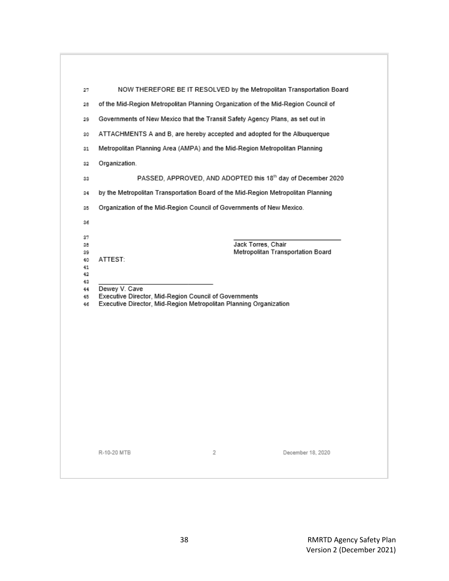|                                                                               | NOW THEREFORE BE IT RESOLVED by the Metropolitan Transportation Board                                                                                                                       |  |
|-------------------------------------------------------------------------------|---------------------------------------------------------------------------------------------------------------------------------------------------------------------------------------------|--|
|                                                                               | of the Mid-Region Metropolitan Planning Organization of the Mid-Region Council of                                                                                                           |  |
| Governments of New Mexico that the Transit Safety Agency Plans, as set out in |                                                                                                                                                                                             |  |
| ATTACHMENTS A and B, are hereby accepted and adopted for the Albuquerque      |                                                                                                                                                                                             |  |
| Metropolitan Planning Area (AMPA) and the Mid-Region Metropolitan Planning    |                                                                                                                                                                                             |  |
|                                                                               | Organization.                                                                                                                                                                               |  |
|                                                                               | PASSED, APPROVED, AND ADOPTED this 18th day of December 2020                                                                                                                                |  |
|                                                                               | by the Metropolitan Transportation Board of the Mid-Region Metropolitan Planning                                                                                                            |  |
|                                                                               | Organization of the Mid-Region Council of Governments of New Mexico.                                                                                                                        |  |
|                                                                               | Metropolitan Transportation Board<br>ATTEST:<br>Dewey V. Cave<br>Executive Director, Mid-Region Council of Governments<br>Executive Director, Mid-Region Metropolitan Planning Organization |  |
|                                                                               |                                                                                                                                                                                             |  |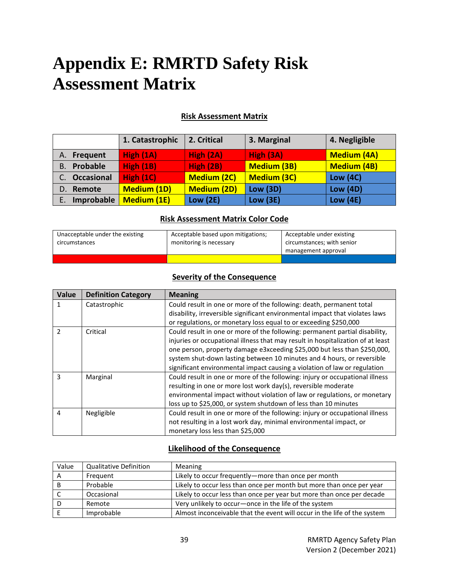# <span id="page-38-0"></span>**Appendix E: RMRTD Safety Risk Assessment Matrix**

### **Risk Assessment Matrix**

|                   | 1. Catastrophic    | 2. Critical        | 3. Marginal        | 4. Negligible      |
|-------------------|--------------------|--------------------|--------------------|--------------------|
| Frequent<br>А.    | High (1A)          | High (2A)          | High (3A)          | <b>Medium (4A)</b> |
| Probable<br>В.    | <b>High (1B)</b>   | High (2B)          | <b>Medium (3B)</b> | <b>Medium (4B)</b> |
| <b>Occasional</b> | High $(1C)$        | <b>Medium (2C)</b> | <b>Medium (3C)</b> | <b>Low (4C)</b>    |
| Remote<br>D.      | <b>Medium (1D)</b> | <b>Medium (2D)</b> | <b>Low (3D)</b>    | <b>Low (4D)</b>    |
| Improbable<br>Ε.  | <b>Medium (1E)</b> | <b>Low (2E)</b>    | Low(3E)            | <b>Low (4E)</b>    |

#### **Risk Assessment Matrix Color Code**

| Unacceptable under the existing<br>circumstances | Acceptable based upon mitigations;<br>monitoring is necessary | Acceptable under existing<br>circumstances; with senior |
|--------------------------------------------------|---------------------------------------------------------------|---------------------------------------------------------|
|                                                  |                                                               | management approval                                     |
|                                                  |                                                               |                                                         |

### **Severity of the Consequence**

| Value         | <b>Definition Category</b> | <b>Meaning</b>                                                                  |
|---------------|----------------------------|---------------------------------------------------------------------------------|
| 1             | Catastrophic               | Could result in one or more of the following: death, permanent total            |
|               |                            | disability, irreversible significant environmental impact that violates laws    |
|               |                            | or regulations, or monetary loss equal to or exceeding \$250,000                |
| $\mathcal{P}$ | Critical                   | Could result in one or more of the following: permanent partial disability,     |
|               |                            | injuries or occupational illness that may result in hospitalization of at least |
|               |                            | one person, property damage e3xceeding \$25,000 but less than \$250,000,        |
|               |                            | system shut-down lasting between 10 minutes and 4 hours, or reversible          |
|               |                            | significant environmental impact causing a violation of law or regulation       |
| ς             | Marginal                   | Could result in one or more of the following: injury or occupational illness    |
|               |                            | resulting in one or more lost work day(s), reversible moderate                  |
|               |                            | environmental impact without violation of law or regulations, or monetary       |
|               |                            | loss up to \$25,000, or system shutdown of less than 10 minutes                 |
| 4             | Negligible                 | Could result in one or more of the following: injury or occupational illness    |
|               |                            | not resulting in a lost work day, minimal environmental impact, or              |
|               |                            | monetary loss less than \$25,000                                                |

### **Likelihood of the Consequence**

| Value | <b>Qualitative Definition</b> | <b>Meaning</b>                                                           |
|-------|-------------------------------|--------------------------------------------------------------------------|
| A     | Frequent                      | Likely to occur frequently-more than once per month                      |
| в     | Probable                      | Likely to occur less than once per month but more than once per year     |
|       | Occasional                    | Likely to occur less than once per year but more than once per decade    |
|       | Remote                        | Very unlikely to occur-once in the life of the system                    |
|       | Improbable                    | Almost inconceivable that the event will occur in the life of the system |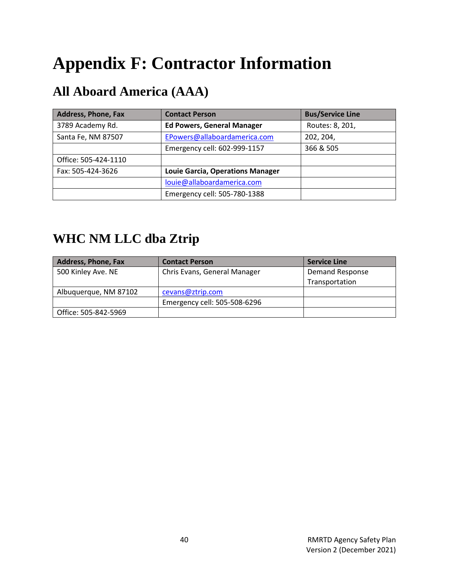# <span id="page-39-0"></span>**Appendix F: Contractor Information**

### <span id="page-39-1"></span>**All Aboard America (AAA)**

| <b>Address, Phone, Fax</b> | <b>Contact Person</b>                   | <b>Bus/Service Line</b> |
|----------------------------|-----------------------------------------|-------------------------|
| 3789 Academy Rd.           | <b>Ed Powers, General Manager</b>       | Routes: 8, 201,         |
| Santa Fe, NM 87507         | EPowers@allaboardamerica.com            | 202, 204,               |
|                            | Emergency cell: 602-999-1157            | 366 & 505               |
| Office: 505-424-1110       |                                         |                         |
| Fax: 505-424-3626          | <b>Louie Garcia, Operations Manager</b> |                         |
|                            | louie@allaboardamerica.com              |                         |
|                            | Emergency cell: 505-780-1388            |                         |

### <span id="page-39-2"></span>**WHC NM LLC dba Ztrip**

| <b>Address, Phone, Fax</b> | <b>Contact Person</b>        | <b>Service Line</b>    |
|----------------------------|------------------------------|------------------------|
| 500 Kinley Ave. NE         | Chris Evans, General Manager | <b>Demand Response</b> |
|                            |                              | Transportation         |
| Albuquerque, NM 87102      | cevans@ztrip.com             |                        |
|                            | Emergency cell: 505-508-6296 |                        |
| Office: 505-842-5969       |                              |                        |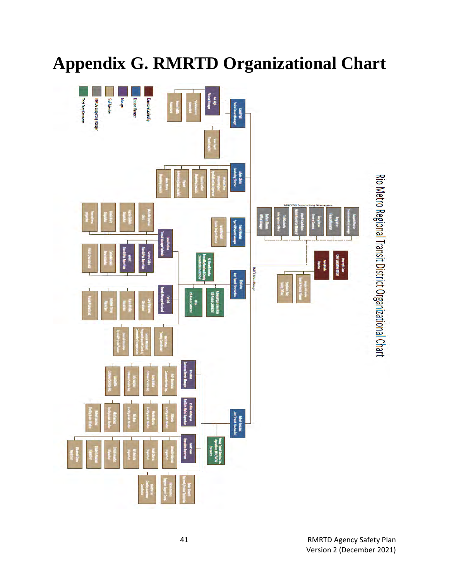# <span id="page-40-0"></span>**Appendix G. RMRTD Organizational Chart**

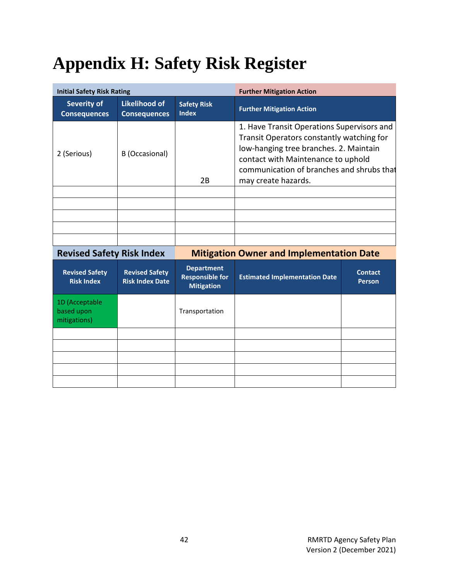# <span id="page-41-0"></span>**Appendix H: Safety Risk Register**

| <b>Initial Safety Risk Rating</b>         |                                             |                                    | <b>Further Mitigation Action</b>                                                                                                                                                                                                            |  |
|-------------------------------------------|---------------------------------------------|------------------------------------|---------------------------------------------------------------------------------------------------------------------------------------------------------------------------------------------------------------------------------------------|--|
| <b>Severity of</b><br><b>Consequences</b> | <b>Likelihood of</b><br><b>Consequences</b> | <b>Safety Risk</b><br><b>Index</b> | <b>Further Mitigation Action</b>                                                                                                                                                                                                            |  |
| 2 (Serious)                               | B (Occasional)                              | 2B                                 | 1. Have Transit Operations Supervisors and<br>Transit Operators constantly watching for<br>low-hanging tree branches. 2. Maintain<br>contact with Maintenance to uphold<br>communication of branches and shrubs that<br>may create hazards. |  |
|                                           |                                             |                                    |                                                                                                                                                                                                                                             |  |
|                                           |                                             |                                    |                                                                                                                                                                                                                                             |  |
|                                           |                                             |                                    |                                                                                                                                                                                                                                             |  |
|                                           |                                             |                                    |                                                                                                                                                                                                                                             |  |
|                                           |                                             |                                    |                                                                                                                                                                                                                                             |  |

**Revised Safety Risk Index Mitigation Owner and Implementation Date**

| <b>Revised Safety</b><br><b>Risk Index</b>   | <b>Revised Safety</b><br><b>Risk Index Date</b> | <b>Department</b><br><b>Responsible for</b><br><b>Mitigation</b> | <b>Estimated Implementation Date</b> | <b>Contact</b><br><b>Person</b> |
|----------------------------------------------|-------------------------------------------------|------------------------------------------------------------------|--------------------------------------|---------------------------------|
| 1D (Acceptable<br>based upon<br>mitigations) |                                                 | Transportation                                                   |                                      |                                 |
|                                              |                                                 |                                                                  |                                      |                                 |
|                                              |                                                 |                                                                  |                                      |                                 |
|                                              |                                                 |                                                                  |                                      |                                 |
|                                              |                                                 |                                                                  |                                      |                                 |
|                                              |                                                 |                                                                  |                                      |                                 |